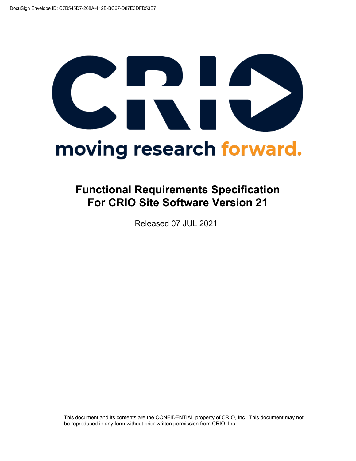# CRID moving research forward.

### **Functional Requirements Specification For CRIO Site Software Version 21**

Released 07 JUL 2021

This document and its contents are the CONFIDENTIAL property of CRIO, Inc. This document may not be reproduced in any form without prior written permission from CRIO, Inc.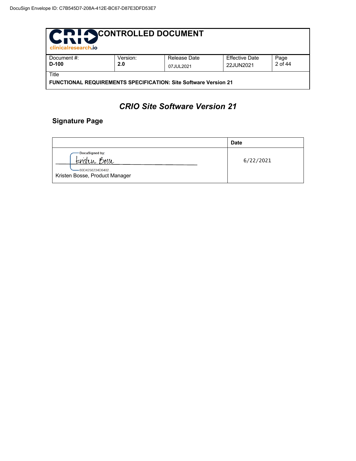| <b>PIDI ACONTROLLED DOCUMENT</b><br><b>MATTLE</b><br>clinicalresearch.jo |          |              |                       |         |  |  |
|--------------------------------------------------------------------------|----------|--------------|-----------------------|---------|--|--|
| Document #:                                                              | Version: | Release Date | <b>Effective Date</b> | Page    |  |  |
| $D-100$                                                                  | 2.0      | 07JUL2021    | 22JUN2021             | 2 of 44 |  |  |
| Title                                                                    |          |              |                       |         |  |  |
| FUNCTIONAL REQUIREMENTS SPECIFICATION: Site Software Version 21          |          |              |                       |         |  |  |

#### *CRIO Site Software Version 21*

#### **Signature Page**

|                                                                                              | <b>Date</b> |
|----------------------------------------------------------------------------------------------|-------------|
| DocuSigned by:<br><u>Eristen Bosse</u><br>-60D4256234D6402<br>Kristen Bosse, Product Manager | 6/22/2021   |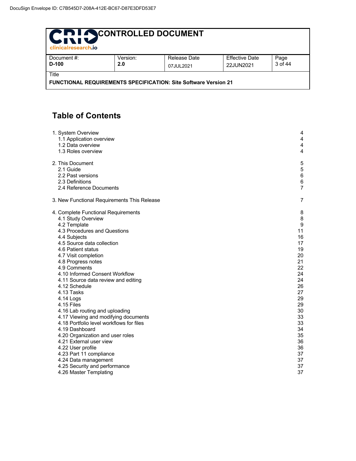| <b>PIDI ACONTROLLED DOCUMENT</b><br><b>WITH</b><br>clinicalresearch.jo   |                 |                           |                                    |                 |  |
|--------------------------------------------------------------------------|-----------------|---------------------------|------------------------------------|-----------------|--|
| Document #:<br>$D-100$                                                   | Version:<br>2.0 | Release Date<br>07JUL2021 | <b>Effective Date</b><br>22JUN2021 | Page<br>3 of 44 |  |
| Title<br>FUNCTIONAL REQUIREMENTS SPECIFICATION: Site Software Version 21 |                 |                           |                                    |                 |  |

#### **Table of Contents**

| 1. System Overview                          | 4              |
|---------------------------------------------|----------------|
| 1.1 Application overview                    | 4              |
| 1.2 Data overview                           | 4              |
| 1.3 Roles overview                          | 4              |
| 2. This Document                            | 5              |
| 2.1 Guide                                   | $\,$ 5 $\,$    |
| 2.2 Past versions                           | $\,6\,$        |
| 2.3 Definitions                             | 6              |
| 2.4 Reference Documents                     | $\overline{7}$ |
| 3. New Functional Requirements This Release | $\overline{7}$ |
| 4. Complete Functional Requirements         | 8              |
| 4.1 Study Overview                          | 8              |
| 4.2 Template                                | 9              |
| 4.3 Procedures and Questions                | 11             |
| 4.4 Subjects                                | 16             |
| 4.5 Source data collection                  | 17             |
| 4.6 Patient status                          | 19             |
| 4.7 Visit completion                        | 20             |
| 4.8 Progress notes                          | 21             |
| 4.9 Comments                                | 22             |
| 4.10 Informed Consent Workflow              | 24             |
| 4.11 Source data review and editing         | 24             |
| 4.12 Schedule                               | 26             |
| 4.13 Tasks                                  | 27             |
| 4.14 Logs                                   | 29             |
| 4.15 Files                                  | 29             |
| 4.16 Lab routing and uploading              | 30             |
| 4.17 Viewing and modifying documents        | 33             |
| 4.18 Portfolio level workflows for files    | 33             |
| 4.19 Dashboard                              | 34             |
| 4.20 Organization and user roles            | 35             |
| 4.21 External user view                     | 36             |
| 4.22 User profile                           | 36             |
| 4.23 Part 11 compliance                     | 37             |
| 4.24 Data management                        | 37             |
| 4.25 Security and performance               | 37             |
| 4.26 Master Templating                      | 37             |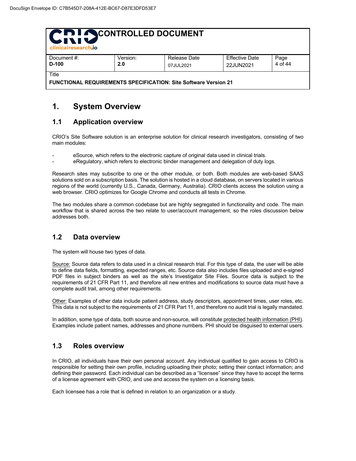| CRI SCONTROLLED DOCUMENT<br>clinicalresearch.jo                                 |                 |                           |                                    |                 |  |
|---------------------------------------------------------------------------------|-----------------|---------------------------|------------------------------------|-----------------|--|
| Document #:<br>$D-100$                                                          | Version:<br>2.0 | Release Date<br>07JUL2021 | <b>Effective Date</b><br>22JUN2021 | Page<br>4 of 44 |  |
| Title<br><b>FUNCTIONAL REQUIREMENTS SPECIFICATION: Site Software Version 21</b> |                 |                           |                                    |                 |  |

#### **1. System Overview**

#### **1.1 Application overview**

CRIO's Site Software solution is an enterprise solution for clinical research investigators, consisting of two main modules:

- eSource, which refers to the electronic capture of original data used in clinical trials.
- eRegulatory, which refers to electronic binder management and delegation of duty logs.

Research sites may subscribe to one or the other module, or both. Both modules are web-based SAAS solutions sold on a subscription basis. The solution is hosted in a cloud database, on servers located in various regions of the world (currently U.S., Canada, Germany, Australia). CRIO clients access the solution using a web browser. CRIO optimizes for Google Chrome and conducts all tests in Chrome.

The two modules share a common codebase but are highly segregated in functionality and code. The main workflow that is shared across the two relate to user/account management, so the roles discussion below addresses both.

#### **1.2 Data overview**

The system will house two types of data.

Source: Source data refers to data used in a clinical research trial. For this type of data, the user will be able to define data fields, formatting, expected ranges, etc. Source data also includes files uploaded and e-signed PDF files in subject binders as well as the site's Investigator Site Files. Source data is subject to the requirements of 21 CFR Part 11, and therefore all new entries and modifications to source data must have a complete audit trail, among other requirements.

Other: Examples of other data include patient address, study descriptors, appointment times, user roles, etc. This data is not subject to the requirements of 21 CFR Part 11, and therefore no audit trial is legally mandated.

In addition, some type of data, both source and non-source, will constitute protected health information (PHI). Examples include patient names, addresses and phone numbers. PHI should be disguised to external users.

#### **1.3 Roles overview**

In CRIO, all individuals have their own personal account. Any individual qualified to gain access to CRIO is responsible for setting their own profile, including uploading their photo; setting their contact information; and defining their password. Each individual can be described as a "licensee" since they have to accept the terms of a license agreement with CRIO, and use and access the system on a licensing basis.

Each licensee has a role that is defined in relation to an organization or a study.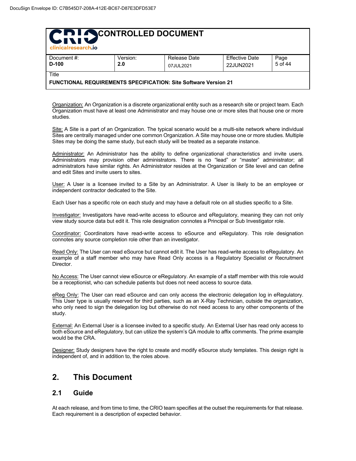| clinicalresearch.jo    |                 |                           |                                    |                 |
|------------------------|-----------------|---------------------------|------------------------------------|-----------------|
| Document #:<br>$D-100$ | Version:<br>2.0 | Release Date<br>07JUL2021 | <b>Effective Date</b><br>22JUN2021 | Page<br>5 of 44 |
| Title                  |                 |                           |                                    |                 |

#### **FUNCTIONAL REQUIREMENTS SPECIFICATION: Site Software Version 21**

Organization: An Organization is a discrete organizational entity such as a research site or project team. Each Organization must have at least one Administrator and may house one or more sites that house one or more studies.

Site: A Site is a part of an Organization. The typical scenario would be a multi-site network where individual Sites are centrally managed under one common Organization. A Site may house one or more studies. Multiple Sites may be doing the same study, but each study will be treated as a separate instance.

Administrator: An Administrator has the ability to define organizational characteristics and invite users. Administrators may provision other administrators. There is no "lead" or "master" administrator; all administrators have similar rights. An Administrator resides at the Organization or Site level and can define and edit Sites and invite users to sites.

User: A User is a licensee invited to a Site by an Administrator. A User is likely to be an employee or independent contractor dedicated to the Site.

Each User has a specific role on each study and may have a default role on all studies specific to a Site.

Investigator: Investigators have read-write access to eSource and eRegulatory, meaning they can not only view study source data but edit it. This role designation connotes a Principal or Sub Investigator role.

Coordinator: Coordinators have read-write access to eSource and eRegulatory. This role designation connotes any source completion role other than an investigator.

Read Only: The User can read eSource but cannot edit it. The User has read-write access to eRegulatory. An example of a staff member who may have Read Only access is a Regulatory Specialist or Recruitment Director.

No Access: The User cannot view eSource or eRegulatory. An example of a staff member with this role would be a receptionist, who can schedule patients but does not need access to source data.

eReg Only: The User can read eSource and can only access the electronic delegation log in eRegulatory. This User type is usually reserved for third parties, such as an X-Ray Technician, outside the organization, who only need to sign the delegation log but otherwise do not need access to any other components of the study.

External: An External User is a licensee invited to a specific study. An External User has read only access to both eSource and eRegulatory, but can utilize the system's QA module to affix comments. The prime example would be the CRA.

Designer: Study designers have the right to create and modify eSource study templates. This design right is independent of, and in addition to, the roles above.

#### **2. This Document**

#### **2.1 Guide**

At each release, and from time to time, the CRIO team specifies at the outset the requirements for that release. Each requirement is a description of expected behavior.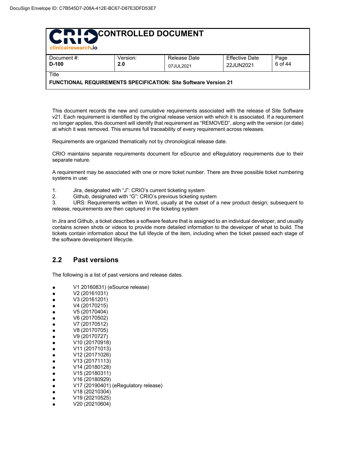| CRI SCONTROLLED DOCUMENT<br>clinicalresearch.jo                 |          |              |                       |         |  |  |
|-----------------------------------------------------------------|----------|--------------|-----------------------|---------|--|--|
| Document #:                                                     | Version: | Release Date | <b>Effective Date</b> | Page    |  |  |
| $D-100$                                                         | 2.0      | 07JUL2021    | 22JUN2021             | 6 of 44 |  |  |
| Title                                                           |          |              |                       |         |  |  |
| FUNCTIONAL REQUIREMENTS SPECIFICATION: Site Software Version 21 |          |              |                       |         |  |  |

This document records the new and cumulative requirements associated with the release of Site Software v21. Each requirement is identified by the original release version with which it is associated. If a requirement no longer applies, this document will identify that requirement as "REMOVED", along with the version (or date) at which it was removed. This ensures full traceability of every requirement across releases.

Requirements are organized thematically not by chronological release date.

CRIO maintains separate requirements document for eSource and eRegulatory requirements due to their separate nature.

A requirement may be associated with one or more ticket number. There are three possible ticket numbering systems in use:

- 1. Jira, designated with "J": CRIO's current ticketing system
- 2. Github, designated with "G": CRIO's previous ticketing system

3. URS: Requirements written in Word, usually at the outset of a new product design; subsequent to release, requirements are then captured in the ticketing system

In Jira and Github, a ticket describes a software feature that is assigned to an individual developer, and usually contains screen shots or videos to provide more detailed information to the developer of what to build. The tickets contain information about the full lifeycle of the item, including when the ticket passed each stage of the software development lifecycle.

#### **2.2 Past versions**

The following is a list of past versions and release dates.

- V1 20160831) (eSource release)
- V2 (20161031)
- V3 (20161201)
- V4 (20170215)
- V5 (20170404)
- V6 (20170502)
- V7 (20170512)
- V8 (20170705)
- V9 (20170727)
- V10 (20170918)
- V11 (20171013)
- V12 (20171026)
- V13 (20171113)
- V14 (20180128) ● V15 (20180311)
- V16 (20180929)
- 
- V17 (20190401) (eRegulatory release)
- $\bullet$  V18 (20210304)
- V19 (20210525)
- V20 (20210604)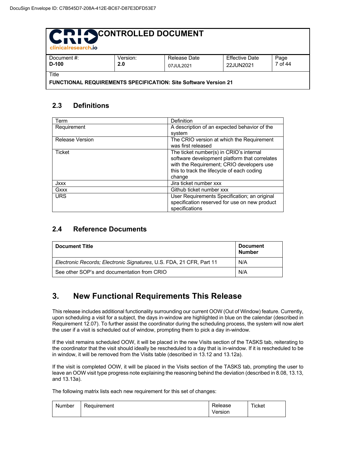| CRI OCONTROLLED DOCUMENT<br>clinicalresearch.jo                          |                 |                           |                                    |                 |  |
|--------------------------------------------------------------------------|-----------------|---------------------------|------------------------------------|-----------------|--|
| Document #:<br>$D-100$                                                   | Version:<br>2.0 | Release Date<br>07JUL2021 | <b>Effective Date</b><br>22JUN2021 | Page<br>7 of 44 |  |
| Title<br>FUNCTIONAL REQUIREMENTS SPECIFICATION: Site Software Version 21 |                 |                           |                                    |                 |  |

#### **2.3 Definitions**

| Term            | Definition                                    |
|-----------------|-----------------------------------------------|
| Requirement     | A description of an expected behavior of the  |
|                 | system                                        |
| Release Version | The CRIO version at which the Requirement     |
|                 | was first released                            |
| Ticket          | The ticket number(s) in CRIO's internal       |
|                 | software development platform that correlates |
|                 | with the Requirement; CRIO developers use     |
|                 | this to track the lifecycle of each coding    |
|                 | change                                        |
| Jxxx            | Jira ticket number xxx                        |
| Gxxx            | Github ticket number xxx                      |
| <b>URS</b>      | User Requirements Specification; an original  |
|                 | specification reserved for use on new product |
|                 | specifications                                |

#### **2.4 Reference Documents**

| <b>Document Title</b>                                                | <b>Document</b><br><b>Number</b> |
|----------------------------------------------------------------------|----------------------------------|
| Electronic Records: Electronic Signatures, U.S. FDA, 21 CFR, Part 11 | N/A                              |
| See other SOP's and documentation from CRIO                          | N/A                              |

#### **3. New Functional Requirements This Release**

This release includes additional functionality surrounding our current OOW (Out of Window) feature. Currently, upon scheduling a visit for a subject, the days in-window are highlighted in blue on the calendar (described in Requirement 12.07). To further assist the coordinator during the scheduling process, the system will now alert the user if a visit is scheduled out of window, prompting them to pick a day in-window.

If the visit remains scheduled OOW, it will be placed in the new Visits section of the TASKS tab, reiterating to the coordinator that the visit should ideally be rescheduled to a day that is in-window. If it is rescheduled to be in window, it will be removed from the Visits table (described in 13.12 and 13.12a).

If the visit is completed OOW, it will be placed in the Visits section of the TASKS tab, prompting the user to leave an OOW visit type progress note explaining the reasoning behind the deviation (described in 8.08, 13.13, and 13.13a).

The following matrix lists each new requirement for this set of changes:

| Number | Requirement | elease.<br>Version | Ticket |
|--------|-------------|--------------------|--------|
|        |             |                    |        |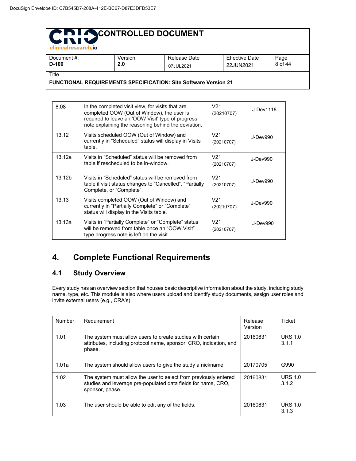| <b>CHINICALTESCATCO</b>                                                |          |              |                       |         |  |  |
|------------------------------------------------------------------------|----------|--------------|-----------------------|---------|--|--|
| Document #:                                                            | Version: | Release Date | <b>Effective Date</b> | Page    |  |  |
| $D-100$                                                                | 2.0      | 07JUL2021    | 22JUN2021             | 8 of 44 |  |  |
| Title                                                                  |          |              |                       |         |  |  |
| <b>FUNCTIONAL REQUIREMENTS SPECIFICATION: Site Software Version 21</b> |          |              |                       |         |  |  |

| טטו-י  | Z.U<br>07JUL2021                                                      |                                                                                                                                                                                                            |  | 22JUN2021       |            | o ui 4    |  |
|--------|-----------------------------------------------------------------------|------------------------------------------------------------------------------------------------------------------------------------------------------------------------------------------------------------|--|-----------------|------------|-----------|--|
| ïtle   | <b>UNCTIONAL REQUIREMENTS SPECIFICATION: Site Software Version 21</b> |                                                                                                                                                                                                            |  |                 |            |           |  |
|        |                                                                       |                                                                                                                                                                                                            |  |                 |            |           |  |
| 8.08   |                                                                       | In the completed visit view, for visits that are<br>completed OOW (Out of Window), the user is<br>required to leave an 'OOW Visit' type of progress<br>note explaining the reasoning behind the deviation. |  | V <sub>21</sub> | (20210707) | J-Dev1118 |  |
| 13.12  | table.                                                                | Visits scheduled OOW (Out of Window) and<br>currently in "Scheduled" status will display in Visits                                                                                                         |  | V <sub>21</sub> | (20210707) | J-Dev990  |  |
| 13.12a |                                                                       | Visits in "Scheduled" status will be removed from<br>table if rescheduled to be in-window.                                                                                                                 |  | V <sub>21</sub> | (20210707) | J-Dev990  |  |
| 13.12b | Complete, or "Complete".                                              | Visits in "Scheduled" status will be removed from<br>table if visit status changes to "Cancelled", "Partially                                                                                              |  | V <sub>21</sub> | (20210707) | J-Dev990  |  |
| 13.13  |                                                                       | Visits completed OOW (Out of Window) and<br>currently in "Partially Complete" or "Complete"<br>status will display in the Visits table.                                                                    |  | V <sub>21</sub> | (20210707) | J-Dev990  |  |
| 13.13a |                                                                       | Visits in "Partially Complete" or "Complete" status<br>will be removed from table once an "OOW Visit"<br>type progress note is left on the visit.                                                          |  | V <sub>21</sub> | (20210707) | J-Dev990  |  |

#### **4. Complete Functional Requirements**

#### **4.1 Study Overview**

Every study has an overview section that houses basic descriptive information about the study, including study name, type, etc. This module is also where users upload and identify study documents, assign user roles and invite external users (e.g., CRA's).

| <b>Number</b> | Requirement                                                                                                                                          | Release<br>Version | Ticket                  |
|---------------|------------------------------------------------------------------------------------------------------------------------------------------------------|--------------------|-------------------------|
| 1.01          | The system must allow users to create studies with certain<br>attributes, including protocol name, sponsor, CRO, indication, and<br>phase.           | 20160831           | <b>URS 1.0</b><br>3.1.1 |
| 1.01a         | The system should allow users to give the study a nickname.                                                                                          | 20170705           | G990                    |
| 1.02          | The system must allow the user to select from previously entered<br>studies and leverage pre-populated data fields for name, CRO,<br>sponsor, phase. | 20160831           | <b>URS 1.0</b><br>3.1.2 |
| 1.03          | The user should be able to edit any of the fields.                                                                                                   | 20160831           | <b>URS 1.0</b><br>3.1.3 |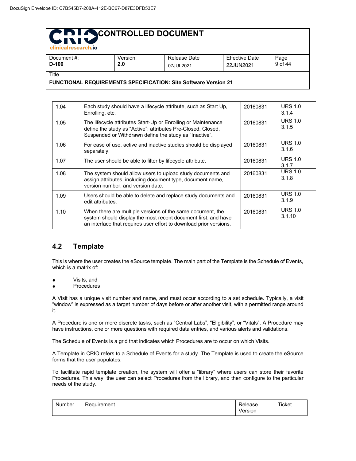| -Cilingan esearch.lo                                                   |          |              |                       |         |
|------------------------------------------------------------------------|----------|--------------|-----------------------|---------|
| Document #:                                                            | Version: | Release Date | <b>Effective Date</b> | Page    |
| D-100                                                                  | 2.0      | 07JUL2021    | 22JUN2021             | 9 of 44 |
| Title                                                                  |          |              |                       |         |
| <b>FUNCTIONAL REQUIREMENTS SPECIFICATION: Site Software Version 21</b> |          |              |                       |         |

1.04 Each study should have a lifecycle attribute, such as Start Up, Enrolling, etc. 20160831 URS 1.0 3.1.4 1.05 | The lifecycle attributes Start-Up or Enrolling or Maintenance define the study as "Active": attributes Pre-Closed, Closed, Suspended or Withdrawn define the study as "Inactive". 20160831 URS 1.0 3.1.5 1.06 For ease of use, active and inactive studies should be displayed separately. 20160831 URS 1.0 3.1.6 1.07 The user should be able to filter by lifecycle attribute. 20160831 URS 1.0 3.1.7 1.08 The system should allow users to upload study documents and assign attributes, including document type, document name, version number, and version date. 20160831 URS 1.0 3.1.8 1.09 Users should be able to delete and replace study documents and edit attributes. 20160831 URS 1.0 3.1.9 1.10 When there are multiple versions of the same document, the system should display the most recent document first, and have an interface that requires user effort to download prior versions. 20160831 URS 1.0 3.1.10

#### **4.2 Template**

This is where the user creates the eSource template. The main part of the Template is the Schedule of Events, which is a matrix of:

- Visits, and
- **Procedures**

A Visit has a unique visit number and name, and must occur according to a set schedule. Typically, a visit "window" is expressed as a target number of days before or after another visit, with a permitted range around it.

A Procedure is one or more discrete tasks, such as "Central Labs", "Eligibility", or "Vitals". A Procedure may have instructions, one or more questions with required data entries, and various alerts and validations.

The Schedule of Events is a grid that indicates which Procedures are to occur on which Visits.

A Template in CRIO refers to a Schedule of Events for a study. The Template is used to create the eSource forms that the user populates.

To facilitate rapid template creation, the system will offer a "library" where users can store their favorite Procedures. This way, the user can select Procedures from the library, and then configure to the particular needs of the study.

| Number | Requirement | ∛elease | Ticket |
|--------|-------------|---------|--------|
|        |             | Version |        |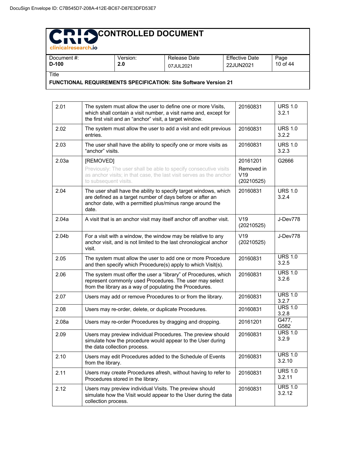| -componees controlled                                                  |                 |                           |                             |                  |  |
|------------------------------------------------------------------------|-----------------|---------------------------|-----------------------------|------------------|--|
| Document #:<br>$D-100$                                                 | Version:<br>2.0 | Release Date<br>07JUL2021 | Effective Date<br>22JUN2021 | Page<br>10 of 44 |  |
| Title                                                                  |                 |                           |                             |                  |  |
| <b>FUNCTIONAL REQUIREMENTS SPECIFICATION: Site Software Version 21</b> |                 |                           |                             |                  |  |

2.01 The system must allow the user to define one or more Visits, which shall contain a visit number, a visit name and, except for the first visit and an "anchor" visit, a target window. 20160831 URS 1.0 3.2.1 2.02 The system must allow the user to add a visit and edit previous entries. 20160831 URS 1.0 3.2.2 2.03 The user shall have the ability to specify one or more visits as "anchor" visits. 20160831 URS 1.0 3.2.3 2.03a | [REMOVED] Previously: The user shall be able to specify consecutive visits as anchor visits; in that case, the last visit serves as the anchor to subsequent visits. 20161201 Removed in V19 (20210525) G2666 2.04 The user shall have the ability to specify target windows, which are defined as a target number of days before or after an anchor date, with a permitted plus/minus range around the date. 20160831 URS 1.0 3.2.4 2.04a A visit that is an anchor visit may itself anchor off another visit.  $\sqrt{19}$ (20210525) J-Dev778 2.04b  $\vert$  For a visit with a window, the window may be relative to any anchor visit, and is not limited to the last chronological anchor visit. V19 (20210525) J-Dev778 2.05 The system must allow the user to add one or more Procedure and then specify which Procedure(s) apply to which Visit(s). 20160831 URS 1.0 3.2.5 2.06 The system must offer the user a "library" of Procedures, which represent commonly used Procedures. The user may select from the library as a way of populating the Procedures. 20160831 URS 1.0 3.2.6 2.07 Users may add or remove Procedures to or from the library. 20160831 URS 1.0 3.2.7 2.08 Users may re-order, delete, or duplicate Procedures. 20160831 URS 1.0  $\frac{3.2.8}{G477}$ 2.08a | Users may re-order Procedures by dragging and dropping. | 20161201 G582<br>URS 1.0 2.09 Users may preview individual Procedures. The preview should simulate how the procedure would appear to the User during the data collection process. 20160831 3.2.9 2.10 Users may edit Procedures added to the Schedule of Events from the library. 20160831 URS 1.0 3.2.10 2.11 Users may create Procedures afresh, without having to refer to Procedures stored in the library. 20160831 URS 1.0 3.2.11 2.12 **Users may preview individual Visits. The preview should** simulate how the Visit would appear to the User during the data collection process. 20160831 URS 1.0 3.2.12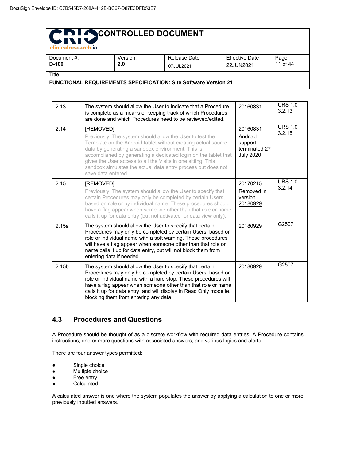| clinicalresearch.io                                                    |          |              |                       |          |  |
|------------------------------------------------------------------------|----------|--------------|-----------------------|----------|--|
| Document #:                                                            | Version: | Release Date | <b>Effective Date</b> | Page     |  |
| D-100                                                                  | 2.0      | 07JUL2021    | 22JUN2021             | 11 of 44 |  |
| Title                                                                  |          |              |                       |          |  |
| <b>FUNCTIONAL REQUIREMENTS SPECIFICATION: Site Software Version 21</b> |          |              |                       |          |  |

| 2.13              | The system should allow the User to indicate that a Procedure<br>is complete as a means of keeping track of which Procedures<br>are done and which Procedures need to be reviewed/edited.                                                                                                                                                                                                                            | 20160831                                                            | <b>URS 1.0</b><br>3.2.13 |
|-------------------|----------------------------------------------------------------------------------------------------------------------------------------------------------------------------------------------------------------------------------------------------------------------------------------------------------------------------------------------------------------------------------------------------------------------|---------------------------------------------------------------------|--------------------------|
| 2.14              | [REMOVED]<br>Previously: The system should allow the User to test the<br>Template on the Android tablet without creating actual source<br>data by generating a sandbox environment. This is<br>accomplished by generating a dedicated login on the tablet that<br>gives the User access to all the Visits in one sitting. This<br>sandbox simulates the actual data entry process but does not<br>save data entered. | 20160831<br>Android<br>support<br>terminated 27<br><b>July 2020</b> | <b>URS 1.0</b><br>3.2.15 |
| 2.15              | [REMOVED]<br>Previously: The system should allow the User to specify that<br>certain Procedures may only be completed by certain Users,<br>based on role or by individual name. These procedures should<br>have a flag appear when someone other than that role or name<br>calls it up for data entry (but not activated for data view only).                                                                        | 20170215<br>Removed in<br>version<br>20180929                       | <b>URS 1.0</b><br>3.2.14 |
| 2.15a             | The system should allow the User to specify that certain<br>Procedures may only be completed by certain Users, based on<br>role or individual name with a soft warning. These procedures<br>will have a flag appear when someone other than that role or<br>name calls it up for data entry, but will not block them from<br>entering data if needed.                                                                | 20180929                                                            | G2507                    |
| 2.15 <sub>b</sub> | The system should allow the User to specify that certain<br>Procedures may only be completed by certain Users, based on<br>role or individual name with a hard stop. These procedures will<br>have a flag appear when someone other than that role or name<br>calls it up for data entry, and will display in Read Only mode ie.<br>blocking them from entering any data.                                            | 20180929                                                            | G2507                    |

#### **4.3 Procedures and Questions**

A Procedure should be thought of as a discrete workflow with required data entries. A Procedure contains instructions, one or more questions with associated answers, and various logics and alerts.

There are four answer types permitted:

- Single choice
- Multiple choice
- Free entry
- Calculated

A calculated answer is one where the system populates the answer by applying a calculation to one or more previously inputted answers.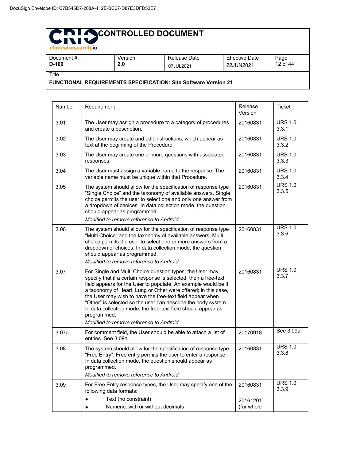| - Christophearter Chris                                                |          |              |                |          |
|------------------------------------------------------------------------|----------|--------------|----------------|----------|
| Document #:                                                            | Version: | Release Date | Effective Date | Page     |
| $D-100$                                                                | 2.0      | 07JUL2021    | 22JUN2021      | 12 of 44 |
| Title                                                                  |          |              |                |          |
| <b>FUNCTIONAL REQUIREMENTS SPECIFICATION: Site Software Version 21</b> |          |              |                |          |

Number Requirement Release Version **Ticket** 3.01 The User may assign a procedure to a category of procedures and create a description. 20160831 URS 1.0 3.3.1 3.02 The User may create and edit instructions, which appear as text at the beginning of the Procedure. 20160831 URS 1.0 3.3.2 3.03 The User may create one or more questions with associated responses. 20160831 URS 1.0 3.3.3 3.04 The User must assign a variable name to the response. The variable name must be unique within that Procedure. 20160831 URS 1.0 3.3.4 3.05 The system should allow for the specification of response type "Single Choice" and the taxonomy of available answers. Single choice permits the user to select one and only one answer from a dropdown of choices. In data collection mode, the question should appear as programmed. *Modified to remove reference to Android.* 20160831 URS 1.0 3.3.5 3.06 The system should allow for the specification of response type "Multi Choice" and the taxonomy of available answers. Multi choice permits the user to select one or more answers from a dropdown of choices. In data collection mode, the question should appear as programmed. *Modified to remove reference to Android.* 20160831 URS 1.0 3.3.6 3.07 For Single and Multi Choice question types, the User may specify that if a certain response is selected, then a free-text field appears for the User to populate. An example would be if a taxonomy of Heart, Lung or Other were offered; in this case, the User may wish to have the free-text field appear when "Other" is selected so the user can describe the body system. In data collection mode, the free-text field should appear as programmed. *Modified to remove reference to Android.* 20160831 URS 1.0 3.3.7 3.07a For comment field, the User should be able to attach a list of entries. See 3.09a. 20170918 See 3.09a 3.08 The system should allow for the specification of response type "Free Entry". Free entry permits the user to enter a response. In data collection mode, the question should appear as programmed. *Modified to remove reference to Android.* 20160831 URS 1.0 3.3.8 3.09 For Free Entry response types, the User may specify one of the following data formats: ● Text (no constraint) ● Numeric, with or without decimals 20160831 20161201 (for whole URS 1.0 3.3.9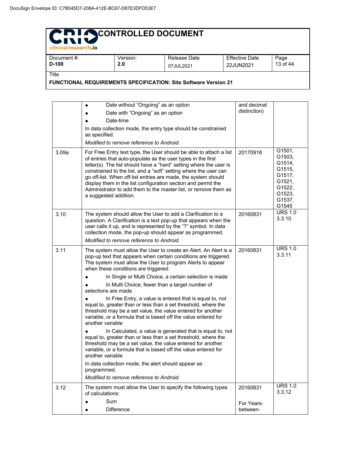### CRIQ CONTROLLED DOCUMENT

| -clinicalresearch.lo                                                   |          |              |                       |          |  |
|------------------------------------------------------------------------|----------|--------------|-----------------------|----------|--|
| Document #:                                                            | Version: | Release Date | <b>Effective Date</b> | Page     |  |
| D-100                                                                  | 2.0      | 07JUL2021    | 22JUN2021             | 13 of 44 |  |
| Title                                                                  |          |              |                       |          |  |
| <b>FUNCTIONAL REQUIREMENTS SPECIFICATION: Site Software Version 21</b> |          |              |                       |          |  |

| 3.09a | Date without "Ongoing" as an option<br>$\bullet$<br>Date with "Ongoing" as an option<br>Date-time<br>In data collection mode, the entry type should be constrained<br>as specified.<br>Modified to remove reference to Android.<br>For Free Entry text type, the User should be able to attach a list<br>of entries that auto-populate as the user types in the first<br>letter(s). The list should have a "hard" setting where the user is<br>constrained to the list, and a "soft" setting where the user can<br>go off-list. When off-list entries are made, the system should<br>display them in the list configuration section and permit the<br>Administrator to add them to the master list, or remove them as<br>a suggested addition.                                                                                                                                                                                                                                                                                                                       | and decimal<br>distinction)<br>20170918 | G1501,<br>G1503,<br>G1514,<br>G1515,<br>G1517,<br>G1521,<br>G1522,<br>G1523,<br>G1537,<br>G1545 |
|-------|----------------------------------------------------------------------------------------------------------------------------------------------------------------------------------------------------------------------------------------------------------------------------------------------------------------------------------------------------------------------------------------------------------------------------------------------------------------------------------------------------------------------------------------------------------------------------------------------------------------------------------------------------------------------------------------------------------------------------------------------------------------------------------------------------------------------------------------------------------------------------------------------------------------------------------------------------------------------------------------------------------------------------------------------------------------------|-----------------------------------------|-------------------------------------------------------------------------------------------------|
| 3.10  | The system should allow the User to add a Clarification to a<br>question. A Clarification is a text pop-up that appears when the<br>user calls it up, and is represented by the "?" symbol. In data<br>collection mode, the pop-up should appear as programmed.<br>Modified to remove reference to Android.                                                                                                                                                                                                                                                                                                                                                                                                                                                                                                                                                                                                                                                                                                                                                          | 20160831                                | <b>URS 1.0</b><br>3.3.10                                                                        |
| 3.11  | The system must allow the User to create an Alert. An Alert is a<br>pop-up text that appears when certain conditions are triggered.<br>The system must allow the User to program Alerts to appear<br>when these conditions are triggered:<br>In Single or Multi Choice, a certain selection is made<br>In Multi Choice, fewer than a target number of<br>selections are made<br>In Free Entry, a value is entered that is equal to, not<br>equal to, greater than or less than a set threshold, where the<br>threshold may be a set value, the value entered for another<br>variable, or a formula that is based off the value entered for<br>another variable<br>In Calculated, a value is generated that is equal to, not<br>equal to, greater than or less than a set threshold, where the<br>threshold may be a set value, the value entered for another<br>variable, or a formula that is based off the value entered for<br>another variable<br>In data collection mode, the alert should appear as<br>programmed.<br>Modified to remove reference to Android. | 20160831                                | <b>URS 1.0</b><br>3.3.11                                                                        |
| 3.12  | The system must allow the User to specify the following types<br>of calculations:<br>Sum<br><b>Difference</b>                                                                                                                                                                                                                                                                                                                                                                                                                                                                                                                                                                                                                                                                                                                                                                                                                                                                                                                                                        | 20160831<br>For Years-<br>between-      | <b>URS 1.0</b><br>3.3.12                                                                        |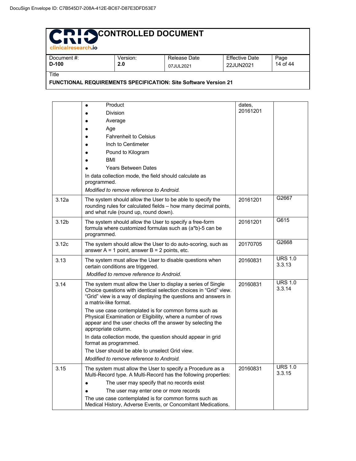| Chi SCONTROLLED DOCUMENT<br>clinicalresearch.jo                        |          |              |                       |          |
|------------------------------------------------------------------------|----------|--------------|-----------------------|----------|
| Document #:                                                            | Version: | Release Date | <b>Effective Date</b> | Page     |
| $D-100$                                                                | 2.0      | 07JUL2021    | 22JUN2021             | 14 of 44 |
| Title                                                                  |          |              |                       |          |
| <b>FUNCTIONAL REQUIREMENTS SPECIFICATION: Site Software Version 21</b> |          |              |                       |          |

|                   | Product                                                                                                                                                                                                                       | dates,<br>20161201 |                          |
|-------------------|-------------------------------------------------------------------------------------------------------------------------------------------------------------------------------------------------------------------------------|--------------------|--------------------------|
|                   | <b>Division</b>                                                                                                                                                                                                               |                    |                          |
|                   | Average                                                                                                                                                                                                                       |                    |                          |
|                   | Age<br><b>Fahrenheit to Celsius</b>                                                                                                                                                                                           |                    |                          |
|                   | Inch to Centimeter                                                                                                                                                                                                            |                    |                          |
|                   |                                                                                                                                                                                                                               |                    |                          |
|                   | Pound to Kilogram<br><b>BMI</b>                                                                                                                                                                                               |                    |                          |
|                   | <b>Years Between Dates</b>                                                                                                                                                                                                    |                    |                          |
|                   | In data collection mode, the field should calculate as                                                                                                                                                                        |                    |                          |
|                   | programmed.                                                                                                                                                                                                                   |                    |                          |
|                   | Modified to remove reference to Android.                                                                                                                                                                                      |                    |                          |
| 3.12a             | The system should allow the User to be able to specify the<br>rounding rules for calculated fields - how many decimal points,<br>and what rule (round up, round down).                                                        | 20161201           | G2667                    |
| 3.12 <sub>b</sub> | The system should allow the User to specify a free-form<br>formula where customized formulas such as (a*b)-5 can be<br>programmed.                                                                                            | 20161201           | G615                     |
| 3.12c             | The system should allow the User to do auto-scoring, such as<br>answer $A = 1$ point, answer $B = 2$ points, etc.                                                                                                             | 20170705           | G2668                    |
| 3.13              | The system must allow the User to disable questions when<br>certain conditions are triggered.                                                                                                                                 | 20160831           | <b>URS 1.0</b><br>3.3.13 |
|                   | Modified to remove reference to Android.                                                                                                                                                                                      |                    |                          |
| 3.14              | The system must allow the User to display a series of Single<br>Choice questions with identical selection choices in "Grid" view.<br>"Grid" view is a way of displaying the questions and answers in<br>a matrix-like format. | 20160831           | <b>URS 1.0</b><br>3.3.14 |
|                   | The use case contemplated is for common forms such as<br>Physical Examination or Eligibility, where a number of rows<br>appear and the user checks off the answer by selecting the<br>appropriate column.                     |                    |                          |
|                   | In data collection mode, the question should appear in grid<br>format as programmed.                                                                                                                                          |                    |                          |
|                   | The User should be able to unselect Grid view.                                                                                                                                                                                |                    |                          |
|                   | Modified to remove reference to Android.                                                                                                                                                                                      |                    |                          |
| 3.15              | The system must allow the User to specify a Procedure as a<br>Multi-Record type. A Multi-Record has the following properties:                                                                                                 | 20160831           | <b>URS 1.0</b><br>3.3.15 |
|                   | The user may specify that no records exist                                                                                                                                                                                    |                    |                          |
|                   | The user may enter one or more records                                                                                                                                                                                        |                    |                          |
|                   | The use case contemplated is for common forms such as<br>Medical History, Adverse Events, or Concomitant Medications.                                                                                                         |                    |                          |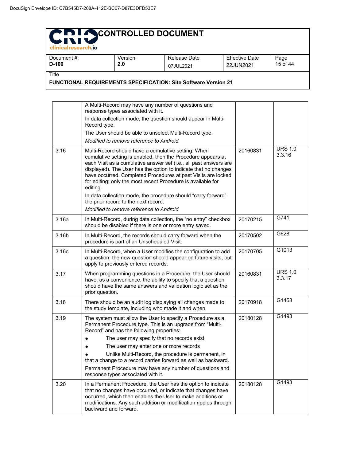| Version:                                                               | Release Date | <b>Effective Date</b> | Page     |  |
|------------------------------------------------------------------------|--------------|-----------------------|----------|--|
|                                                                        | 07JUL2021    | 22JUN2021             | 15 of 44 |  |
|                                                                        |              |                       |          |  |
| <b>FUNCTIONAL REQUIREMENTS SPECIFICATION: Site Software Version 21</b> |              |                       |          |  |
|                                                                        | 2.0          |                       |          |  |

|       | A Multi-Record may have any number of questions and<br>response types associated with it.                                                                                                                                                                                                                                                                                                                                                                  |          |                          |
|-------|------------------------------------------------------------------------------------------------------------------------------------------------------------------------------------------------------------------------------------------------------------------------------------------------------------------------------------------------------------------------------------------------------------------------------------------------------------|----------|--------------------------|
|       | In data collection mode, the question should appear in Multi-<br>Record type.                                                                                                                                                                                                                                                                                                                                                                              |          |                          |
|       | The User should be able to unselect Multi-Record type.<br>Modified to remove reference to Android.                                                                                                                                                                                                                                                                                                                                                         |          |                          |
| 3.16  | Multi-Record should have a cumulative setting. When                                                                                                                                                                                                                                                                                                                                                                                                        | 20160831 | <b>URS 1.0</b>           |
|       | cumulative setting is enabled, then the Procedure appears at<br>each Visit as a cumulative answer set (i.e., all past answers are<br>displayed). The User has the option to indicate that no changes<br>have occurred. Completed Procedures at past Visits are locked<br>for editing; only the most recent Procedure is available for<br>editing.<br>In data collection mode, the procedure should "carry forward"<br>the prior record to the next record. |          | 3.3.16                   |
|       | Modified to remove reference to Android.                                                                                                                                                                                                                                                                                                                                                                                                                   |          | G741                     |
| 3.16a | In Multi-Record, during data collection, the "no entry" checkbox<br>should be disabled if there is one or more entry saved.                                                                                                                                                                                                                                                                                                                                | 20170215 |                          |
| 3.16b | In Multi-Record, the records should carry forward when the<br>procedure is part of an Unscheduled Visit.                                                                                                                                                                                                                                                                                                                                                   | 20170502 | G628                     |
| 3.16c | In Multi-Record, when a User modifies the configuration to add<br>a question, the new question should appear on future visits, but<br>apply to previously entered records.                                                                                                                                                                                                                                                                                 | 20170705 | G1013                    |
| 3.17  | When programming questions in a Procedure, the User should<br>have, as a convenience, the ability to specify that a question<br>should have the same answers and validation logic set as the<br>prior question.                                                                                                                                                                                                                                            | 20160831 | <b>URS 1.0</b><br>3.3.17 |
| 3.18  | There should be an audit log displaying all changes made to<br>the study template, including who made it and when.                                                                                                                                                                                                                                                                                                                                         | 20170918 | G1458                    |
| 3.19  | The system must allow the User to specify a Procedure as a<br>Permanent Procedure type. This is an upgrade from "Multi-<br>Record" and has the following properties:<br>The user may specify that no records exist<br>The user may enter one or more records<br>Unlike Multi-Record, the procedure is permanent, in<br>that a change to a record carries forward as well as backward.                                                                      | 20180128 | G1493                    |
|       | Permanent Procedure may have any number of questions and<br>response types associated with it.                                                                                                                                                                                                                                                                                                                                                             |          |                          |
| 3.20  | In a Permanent Procedure, the User has the option to indicate<br>that no changes have occurred, or indicate that changes have<br>occurred, which then enables the User to make additions or<br>modifications. Any such addition or modification ripples through<br>backward and forward.                                                                                                                                                                   | 20180128 | G1493                    |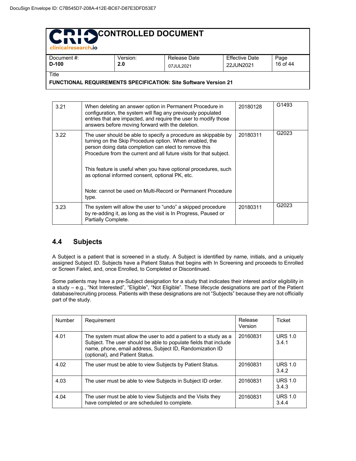| clinicalresearch.io                                                    |          |              |                       |          |  |
|------------------------------------------------------------------------|----------|--------------|-----------------------|----------|--|
| Document #:                                                            | Version: | Release Date | <b>Effective Date</b> | Page     |  |
| D-100                                                                  | 2.0      | 07JUL2021    | 22JUN2021             | 16 of 44 |  |
| <b>Title</b>                                                           |          |              |                       |          |  |
| <b>FUNCTIONAL REQUIREMENTS SPECIFICATION: Site Software Version 21</b> |          |              |                       |          |  |

| 3.21 | When deleting an answer option in Permanent Procedure in<br>configuration, the system will flag any previously populated<br>entries that are impacted, and require the user to modify those<br>answers before moving forward with the deletion.                                                                                                                                                                                                       | 20180128 | G1493 |
|------|-------------------------------------------------------------------------------------------------------------------------------------------------------------------------------------------------------------------------------------------------------------------------------------------------------------------------------------------------------------------------------------------------------------------------------------------------------|----------|-------|
| 3.22 | The user should be able to specify a procedure as skippable by<br>turning on the Skip Procedure option. When enabled, the<br>person doing data completion can elect to remove this<br>Procedure from the current and all future visits for that subject.<br>This feature is useful when you have optional procedures, such<br>as optional informed consent, optional PK, etc.<br>Note: cannot be used on Multi-Record or Permanent Procedure<br>type. | 20180311 | G2023 |
| 3.23 | The system will allow the user to "undo" a skipped procedure<br>by re-adding it, as long as the visit is In Progress, Paused or<br>Partially Complete.                                                                                                                                                                                                                                                                                                | 20180311 | G2023 |

#### **4.4 Subjects**

A Subject is a patient that is screened in a study. A Subject is identified by name, initials, and a uniquely assigned Subject ID. Subjects have a Patient Status that begins with In Screening and proceeds to Enrolled or Screen Failed, and, once Enrolled, to Completed or Discontinued.

Some patients may have a pre-Subject designation for a study that indicates their interest and/or eligibility in a study – e.g., "Not Interested", "Eligible", "Not Eligible". These lifecycle designations are part of the Patient database/recruiting process. Patients with these designations are not "Subjects" because they are not officially part of the study.

| <b>Number</b> | Requirement                                                                                                                                                                                                                        | Release<br>Version | Ticket                  |
|---------------|------------------------------------------------------------------------------------------------------------------------------------------------------------------------------------------------------------------------------------|--------------------|-------------------------|
| 4.01          | The system must allow the user to add a patient to a study as a<br>Subject. The user should be able to populate fields that include<br>name, phone, email address, Subject ID, Randomization ID<br>(optional), and Patient Status. | 20160831           | <b>URS 1.0</b><br>3.4.1 |
| 4.02          | The user must be able to view Subjects by Patient Status.                                                                                                                                                                          | 20160831           | <b>URS 1.0</b><br>3.4.2 |
| 4.03          | The user must be able to view Subjects in Subject ID order.                                                                                                                                                                        | 20160831           | <b>URS 1.0</b><br>3.4.3 |
| 4.04          | The user must be able to view Subjects and the Visits they<br>have completed or are scheduled to complete.                                                                                                                         | 20160831           | <b>URS 1.0</b><br>3.4.4 |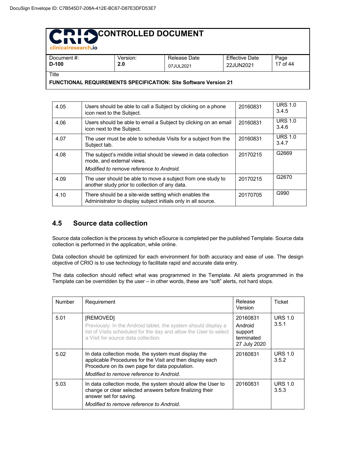| - clinicalresearch.lo                                                  |          |              |                       |          |
|------------------------------------------------------------------------|----------|--------------|-----------------------|----------|
| Document #:                                                            | Version: | Release Date | <b>Effective Date</b> | Page     |
| $D-100$                                                                | 2.0      | 07JUL2021    | 22JUN2021             | 17 of 44 |
| Title                                                                  |          |              |                       |          |
| <b>FUNCTIONAL REQUIREMENTS SPECIFICATION: Site Software Version 21</b> |          |              |                       |          |

| 4.05 | Users should be able to call a Subject by clicking on a phone<br>icon next to the Subject.                                                | 20160831 | <b>URS 1.0</b><br>3.4.5 |
|------|-------------------------------------------------------------------------------------------------------------------------------------------|----------|-------------------------|
| 4.06 | Users should be able to email a Subject by clicking on an email<br>icon next to the Subject.                                              | 20160831 | <b>URS 1.0</b><br>3.4.6 |
| 4.07 | The user must be able to schedule Visits for a subject from the<br>Subject tab.                                                           | 20160831 | <b>URS 1.0</b><br>3.4.7 |
| 4.08 | The subject's middle initial should be viewed in data collection<br>mode, and external views.<br>Modified to remove reference to Android. | 20170215 | G2669                   |
| 4.09 | The user should be able to move a subject from one study to<br>another study prior to collection of any data.                             | 20170215 | G2670                   |
| 4.10 | There should be a site-wide setting which enables the<br>Administrator to display subject initials only in all source.                    | 20170705 | G990                    |

#### **4.5 Source data collection**

Source data collection is the process by which eSource is completed per the published Template. Source data collection is performed in the application, while online.

Data collection should be optimized for each environment for both accuracy and ease of use. The design objective of CRIO is to use technology to facilitate rapid and accurate data entry.

The data collection should reflect what was programmed in the Template. All alerts programmed in the Template can be overridden by the user – in other words, these are "soft" alerts, not hard stops.

| <b>Number</b> | Requirement                                                                                                                                                                                                     | <b>Release</b><br>Version                                    | Ticket                  |
|---------------|-----------------------------------------------------------------------------------------------------------------------------------------------------------------------------------------------------------------|--------------------------------------------------------------|-------------------------|
| 5.01          | <b>IREMOVEDI</b><br>Previously: In the Android tablet, the system should display a<br>list of Visits scheduled for the day and allow the User to select<br>a Visit for source data collection.                  | 20160831<br>Android<br>support<br>terminated<br>27 July 2020 | <b>URS 1.0</b><br>3.5.1 |
| 5.02          | In data collection mode, the system must display the<br>applicable Procedures for the Visit and then display each<br>Procedure on its own page for data population.<br>Modified to remove reference to Android. | 20160831                                                     | <b>URS 1.0</b><br>3.5.2 |
| 5.03          | In data collection mode, the system should allow the User to<br>change or clear selected answers before finalizing their<br>answer set for saving.<br>Modified to remove reference to Android.                  | 20160831                                                     | <b>URS 1.0</b><br>3.5.3 |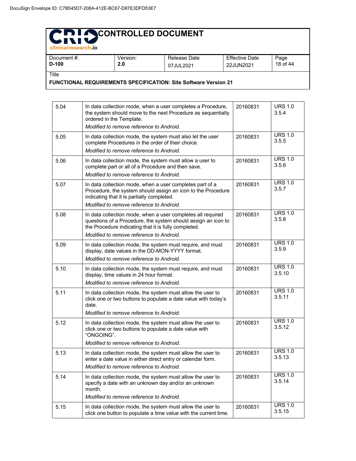| ellinicalitesearch.lo                                                  |                 |                           |                                    |                  |  |
|------------------------------------------------------------------------|-----------------|---------------------------|------------------------------------|------------------|--|
| Document #:<br>$D-100$                                                 | Version:<br>2.0 | Release Date<br>07JUL2021 | <b>Effective Date</b><br>22JUN2021 | Page<br>18 of 44 |  |
| Title                                                                  |                 |                           |                                    |                  |  |
| <b>FUNCTIONAL REQUIREMENTS SPECIFICATION: Site Software Version 21</b> |                 |                           |                                    |                  |  |

| 5.04 | In data collection mode, when a user completes a Procedure,<br>the system should move to the next Procedure as sequentially<br>ordered in the Template.<br>Modified to remove reference to Android.                              | 20160831 | <b>URS 1.0</b><br>3.5.4  |
|------|----------------------------------------------------------------------------------------------------------------------------------------------------------------------------------------------------------------------------------|----------|--------------------------|
| 5.05 | In data collection mode, the system must also let the user<br>complete Procedures in the order of their choice.<br>Modified to remove reference to Android.                                                                      | 20160831 | <b>URS 1.0</b><br>3.5.5  |
| 5.06 | In data collection mode, the system must allow a user to<br>complete part or all of a Procedure and then save.<br>Modified to remove reference to Android.                                                                       | 20160831 | <b>URS 1.0</b><br>3.5.6  |
| 5.07 | In data collection mode, when a user completes part of a<br>Procedure, the system should assign an icon to the Procedure<br>indicating that it is partially completed.<br>Modified to remove reference to Android.               | 20160831 | <b>URS 1.0</b><br>3.5.7  |
| 5.08 | In data collection mode, when a user completes all required<br>questions of a Procedure, the system should assign an icon to<br>the Procedure indicating that it is fully completed.<br>Modified to remove reference to Android. | 20160831 | <b>URS 1.0</b><br>3.5.8  |
| 5.09 | In data collection mode, the system must require, and must<br>display, date values in the DD-MON-YYYY format.<br>Modified to remove reference to Android.                                                                        | 20160831 | <b>URS 1.0</b><br>3.5.9  |
| 5.10 | In data collection mode, the system must require, and must<br>display, time values in 24 hour format.<br>Modified to remove reference to Android.                                                                                | 20160831 | <b>URS 1.0</b><br>3.5.10 |
| 5.11 | In data collection mode, the system must allow the user to<br>click one or two buttons to populate a date value with today's<br>date.<br>Modified to remove reference to Android.                                                | 20160831 | <b>URS 1.0</b><br>3.5.11 |
| 5.12 | In data collection mode, the system must allow the user to<br>click one or two buttons to populate a date value with<br>"ONGOING".<br>Modified to remove reference to Android.                                                   | 20160831 | <b>URS 1.0</b><br>3.5.12 |
| 5.13 | In data collection mode, the system must allow the user to<br>enter a date value in either direct entry or calendar form.<br>Modified to remove reference to Android.                                                            | 20160831 | <b>URS 1.0</b><br>3.5.13 |
| 5.14 | In data collection mode, the system must allow the user to<br>specify a date with an unknown day and/or an unknown<br>month.<br>Modified to remove reference to Android.                                                         | 20160831 | <b>URS 1.0</b><br>3.5.14 |
| 5.15 | In data collection mode, the system must allow the user to<br>click one button to populate a time value with the current time.                                                                                                   | 20160831 | <b>URS 1.0</b><br>3.5.15 |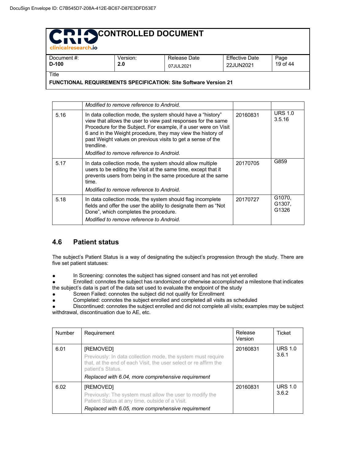| <b>Clinicalresearch.io</b>                                               |                 |                           |                                    |                  |  |
|--------------------------------------------------------------------------|-----------------|---------------------------|------------------------------------|------------------|--|
| Document #:<br>D-100                                                     | Version:<br>2.0 | Release Date<br>07JUL2021 | <b>Effective Date</b><br>22JUN2021 | Page<br>19 of 44 |  |
| Title<br>FUNCTIONAL REQUIREMENTS SPECIFICATION: Site Software Version 21 |                 |                           |                                    |                  |  |

|      | Modified to remove reference to Android.                                                                                                                                                                                                                                                                                                                                                |          |                           |
|------|-----------------------------------------------------------------------------------------------------------------------------------------------------------------------------------------------------------------------------------------------------------------------------------------------------------------------------------------------------------------------------------------|----------|---------------------------|
| 5.16 | In data collection mode, the system should have a "history"<br>view that allows the user to view past responses for the same<br>Procedure for the Subject. For example, if a user were on Visit<br>6 and in the Weight procedure, they may view the history of<br>past Weight values on previous visits to get a sense of the<br>trendline.<br>Modified to remove reference to Android. | 20160831 | <b>URS 1.0</b><br>3.5.16  |
| 5.17 | In data collection mode, the system should allow multiple<br>users to be editing the Visit at the same time, except that it<br>prevents users from being in the same procedure at the same<br>time.<br>Modified to remove reference to Android.                                                                                                                                         | 20170705 | G859                      |
| 5.18 | In data collection mode, the system should flag incomplete<br>fields and offer the user the ability to designate them as "Not<br>Done", which completes the procedure.<br>Modified to remove reference to Android.                                                                                                                                                                      | 20170727 | G1070.<br>G1307.<br>G1326 |

#### **4.6 Patient status**

The subject's Patient Status is a way of designating the subject's progression through the study. There are five set patient statuses:

● In Screening: connotes the subject has signed consent and has not yet enrolled

● Enrolled: connotes the subject has randomized or otherwise accomplished a milestone that indicates the subject's data is part of the data set used to evaluate the endpoint of the study

● Screen Failed: connotes the subject did not qualify for Enrollment

Completed: connotes the subject enrolled and completed all visits as scheduled

● Discontinued: connotes the subject enrolled and did not complete all visits; examples may be subject withdrawal, discontinuation due to AE, etc.

| Number | Requirement                                                                                                                                                                                                              | Release<br>Version | Ticket                  |
|--------|--------------------------------------------------------------------------------------------------------------------------------------------------------------------------------------------------------------------------|--------------------|-------------------------|
| 6.01   | [REMOVED]<br>Previously: In data collection mode, the system must require<br>that, at the end of each Visit, the user select or re affirm the<br>patient's Status.<br>Replaced with 6.04, more comprehensive requirement | 20160831           | <b>URS 1.0</b><br>3.6.1 |
| 6.02   | [REMOVED]<br>Previously: The system must allow the user to modify the<br>Patient Status at any time, outside of a Visit.<br>Replaced with 6.05, more comprehensive requirement                                           | 20160831           | <b>URS 1.0</b><br>3.6.2 |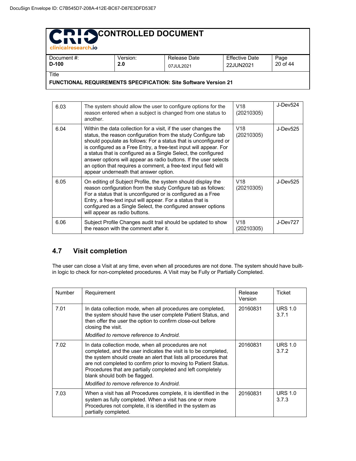| - Christan esearch.io                                                  |          |              |                       |          |
|------------------------------------------------------------------------|----------|--------------|-----------------------|----------|
| Document #:                                                            | Version: | Release Date | <b>Effective Date</b> | Page     |
| $D-100$                                                                | 2.0      | 07JUL2021    | 22JUN2021             | 20 of 44 |
| Title                                                                  |          |              |                       |          |
| <b>FUNCTIONAL REQUIREMENTS SPECIFICATION: Site Software Version 21</b> |          |              |                       |          |

| 6.03 | The system should allow the user to configure options for the<br>reason entered when a subject is changed from one status to<br>another.                                                                                                                                                                                                                                                                                                                                                                                    | V <sub>18</sub><br>(20210305) | J-Dev524 |
|------|-----------------------------------------------------------------------------------------------------------------------------------------------------------------------------------------------------------------------------------------------------------------------------------------------------------------------------------------------------------------------------------------------------------------------------------------------------------------------------------------------------------------------------|-------------------------------|----------|
| 6.04 | Within the data collection for a visit, if the user changes the<br>status, the reason configuration from the study Configure tab<br>should populate as follows: For a status that is unconfigured or<br>is configured as a Free Entry, a free-text input will appear. For<br>a status that is configured as a Single Select, the configured<br>answer options will appear as radio buttons. If the user selects<br>an option that requires a comment, a free-text input field will<br>appear underneath that answer option. | V <sub>18</sub><br>(20210305) | J-Dev525 |
| 6.05 | On editing of Subject Profile, the system should display the<br>reason configuration from the study Configure tab as follows:<br>For a status that is unconfigured or is configured as a Free<br>Entry, a free-text input will appear. For a status that is<br>configured as a Single Select, the configured answer options<br>will appear as radio buttons.                                                                                                                                                                | V <sub>18</sub><br>(20210305) | J-Dev525 |
| 6.06 | Subject Profile Changes audit trail should be updated to show<br>the reason with the comment after it.                                                                                                                                                                                                                                                                                                                                                                                                                      | V <sub>18</sub><br>(20210305) | J-Dev727 |

#### **4.7 Visit completion**

The user can close a Visit at any time, even when all procedures are not done. The system should have builtin logic to check for non-completed procedures. A Visit may be Fully or Partially Completed.

| <b>Number</b> | Requirement                                                                                                                                                                                                                                                                                                                                                                                                | Release<br>Version | Ticket                  |
|---------------|------------------------------------------------------------------------------------------------------------------------------------------------------------------------------------------------------------------------------------------------------------------------------------------------------------------------------------------------------------------------------------------------------------|--------------------|-------------------------|
| 7.01          | In data collection mode, when all procedures are completed,<br>the system should have the user complete Patient Status, and<br>then offer the user the option to confirm close-out before<br>closing the visit.<br>Modified to remove reference to Android.                                                                                                                                                | 20160831           | <b>URS 1.0</b><br>3.7.1 |
| 7.02          | In data collection mode, when all procedures are not<br>completed, and the user indicates the visit is to be completed.<br>the system should create an alert that lists all procedures that<br>are not completed to confirm prior to moving to Patient Status.<br>Procedures that are partially completed and left completely<br>blank should both be flagged.<br>Modified to remove reference to Android. | 20160831           | <b>URS 1.0</b><br>3.7.2 |
| 7.03          | When a visit has all Procedures complete, it is identified in the<br>system as fully completed. When a visit has one or more<br>Procedures not complete, it is identified in the system as<br>partially completed.                                                                                                                                                                                         | 20160831           | <b>URS 1.0</b><br>3.7.3 |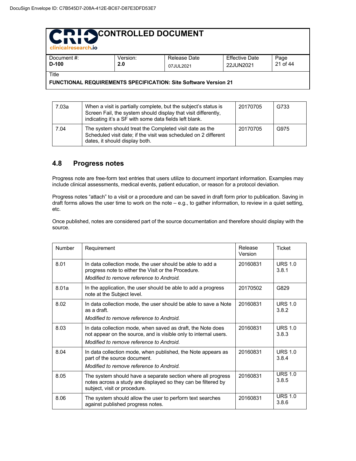| clinicalresearch.jo                                                      |     |                                                                        |           |          |  |
|--------------------------------------------------------------------------|-----|------------------------------------------------------------------------|-----------|----------|--|
| <b>Effective Date</b><br>Document #:<br>Release Date<br>Page<br>Version: |     |                                                                        |           |          |  |
| $D-100$                                                                  | 2.0 | 07JUL2021                                                              | 22JUN2021 | 21 of 44 |  |
| Title                                                                    |     |                                                                        |           |          |  |
|                                                                          |     | <b>FUNCTIONAL REQUIREMENTS SPECIFICATION: Site Software Version 21</b> |           |          |  |

| 7.03a | When a visit is partially complete, but the subject's status is<br>Screen Fail, the system should display that visit differently,<br>indicating it's a SF with some data fields left blank. | 20170705 | G733 |
|-------|---------------------------------------------------------------------------------------------------------------------------------------------------------------------------------------------|----------|------|
| 7.04  | The system should treat the Completed visit date as the<br>Scheduled visit date; if the visit was scheduled on 2 different<br>dates, it should display both.                                | 20170705 | G975 |

#### **4.8 Progress notes**

Progress note are free-form text entries that users utilize to document important information. Examples may include clinical assessments, medical events, patient education, or reason for a protocol deviation.

Progress notes "attach" to a visit or a procedure and can be saved in draft form prior to publication. Saving in draft forms allows the user time to work on the note – e.g., to gather information, to review in a quiet setting, etc.

Once published, notes are considered part of the source documentation and therefore should display with the source.

| Number | Requirement                                                                                                                                                                 | Release<br>Version | Ticket                  |
|--------|-----------------------------------------------------------------------------------------------------------------------------------------------------------------------------|--------------------|-------------------------|
| 8.01   | In data collection mode, the user should be able to add a<br>progress note to either the Visit or the Procedure.<br>Modified to remove reference to Android.                | 20160831           | <b>URS 1.0</b><br>3.8.1 |
| 8.01a  | In the application, the user should be able to add a progress<br>note at the Subject level.                                                                                 | 20170502           | G829                    |
| 8.02   | In data collection mode, the user should be able to save a Note<br>as a draft.<br>Modified to remove reference to Android.                                                  | 20160831           | URS $1.0$<br>3.8.2      |
| 8.03   | In data collection mode, when saved as draft, the Note does<br>not appear on the source, and is visible only to internal users.<br>Modified to remove reference to Android. | 20160831           | URS $1.0$<br>3.8.3      |
| 8.04   | In data collection mode, when published, the Note appears as<br>part of the source document.<br>Modified to remove reference to Android.                                    | 20160831           | <b>URS 1.0</b><br>3.8.4 |
| 8.05   | The system should have a separate section where all progress<br>notes across a study are displayed so they can be filtered by<br>subject, visit or procedure.               | 20160831           | <b>URS 1.0</b><br>3.8.5 |
| 8.06   | The system should allow the user to perform text searches<br>against published progress notes.                                                                              | 20160831           | <b>URS 1.0</b><br>3.8.6 |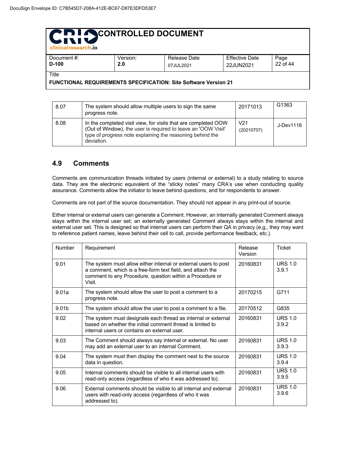| clinicalresearch.io    |                 |                           |                             |                  |
|------------------------|-----------------|---------------------------|-----------------------------|------------------|
| Document #:<br>$D-100$ | Version:<br>2.0 | Release Date<br>07JUL2021 | Effective Date<br>22JUN2021 | Page<br>22 of 44 |
| Title                  |                 |                           |                             |                  |
| __                     |                 | . .<br>- -                | - -                         |                  |

| טטו-נ |                | z.u | 07JUL2021                                                                                                                                                                                    | 22JUN2021         | ZZ 01 44  |
|-------|----------------|-----|----------------------------------------------------------------------------------------------------------------------------------------------------------------------------------------------|-------------------|-----------|
| itle  |                |     | <b>'UNCTIONAL REQUIREMENTS SPECIFICATION: Site Software Version 21</b>                                                                                                                       |                   |           |
| 8.07  | progress note. |     | The system should allow multiple users to sign the same                                                                                                                                      | 20171013          | G1363     |
| 8.08  | deviation.     |     | In the completed visit view, for visits that are completed OOW<br>(Out of Window), the user is required to leave an 'OOW Visit'<br>type of progress note explaining the reasoning behind the | V21<br>(20210707) | J-Dev1118 |

#### **4.9 Comments**

Comments are communication threads initiated by users (internal or external) to a study relating to source data. They are the electronic equivalent of the "sticky notes" many CRA's use when conducting quality assurance. Comments allow the initiator to leave behind questions, and for respondents to answer.

Comments are not part of the source documentation. They should not appear in any print-out of source.

Either internal or external users can generate a Comment. However, an internally generated Comment always stays within the internal user set; an externally generated Comment always stays within the internal and external user set. This is designed so that internal users can perform their QA in privacy (e.g., they may want to reference patient names, leave behind their cell to call, provide performance feedback, etc.).

| Number | Requirement                                                                                                                                                                                         | Release<br>Version | Ticket                  |
|--------|-----------------------------------------------------------------------------------------------------------------------------------------------------------------------------------------------------|--------------------|-------------------------|
| 9.01   | The system must allow either internal or external users to post<br>a comment, which is a free-form text field, and attach the<br>comment to any Procedure, question within a Procedure or<br>Visit. | 20160831           | <b>URS 1.0</b><br>3.9.1 |
| 9.01a  | The system should allow the user to post a comment to a<br>progress note.                                                                                                                           | 20170215           | G711                    |
| 9.01b  | The system should allow the user to post a comment to a file.                                                                                                                                       | 20170512           | G835                    |
| 9.02   | The system must designate each thread as internal or external<br>based on whether the initial comment thread is limited to<br>internal users or contains an external user.                          | 20160831           | URS $1.0$<br>3.9.2      |
| 9.03   | The Comment should always say internal or external. No user<br>may add an external user to an internal Comment.                                                                                     | 20160831           | <b>URS 1.0</b><br>3.9.3 |
| 9.04   | The system must then display the comment next to the source<br>data in question.                                                                                                                    | 20160831           | <b>URS 1.0</b><br>3.9.4 |
| 9.05   | Internal comments should be visible to all internal users with<br>read-only access (regardless of who it was addressed to).                                                                         | 20160831           | URS $1.0$<br>3.9.5      |
| 9.06   | External comments should be visible to all internal and external<br>users with read-only access (regardless of who it was<br>addressed to).                                                         | 20160831           | <b>URS 1.0</b><br>3.9.6 |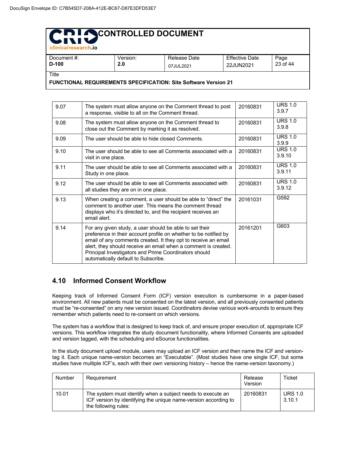| - Cililicali esedi Ch.IO                                               |                 |                           |                                    |                  |
|------------------------------------------------------------------------|-----------------|---------------------------|------------------------------------|------------------|
| Document #:<br>D-100                                                   | Version:<br>2.0 | Release Date<br>07JUL2021 | <b>Effective Date</b><br>22JUN2021 | Page<br>23 of 44 |
| Title                                                                  |                 |                           |                                    |                  |
| <b>FUNCTIONAL REQUIREMENTS SPECIFICATION: Site Software Version 21</b> |                 |                           |                                    |                  |

9.07 Fine system must allow anyone on the Comment thread to post a response, visible to all on the Comment thread. 20160831 URS 1.0 3.9.7 9.08 The system must allow anyone on the Comment thread to close out the Comment by marking it as resolved. 20160831 URS 1.0 3.9.8 9.09 The user should be able to hide closed Comments. 20160831 URS 1.0 3.9.9 9.10 | The user should be able to see all Comments associated with a visit in one place. 20160831 URS 1.0 3.9.10 9.11 The user should be able to see all Comments associated with a Study in one place. 20160831 URS 1.0 3.9.11 9.12 **The user should be able to see all Comments associated with** all studies they are on in one place. 20160831 URS 1.0 3.9.12 9.13 When creating a comment, a user should be able to "direct" the comment to another user. This means the comment thread displays who it's directed to, and the recipient receives an email alert. 20161031 G592 9.14 For any given study, a user should be able to set their preference in their account profile on whether to be notified by email of any comments created. It they opt to receive an email alert, they should receive an email when a comment is created. Principal Investigators and Prime Coordinators should automatically default to Subscribe. 20161201 G603

#### **4.10 Informed Consent Workflow**

Keeping track of Informed Consent Form (ICF) version execution is cumbersome in a paper-based environment. All new patients must be consented on the latest version, and all previously consented patients must be "re-consented" on any new version issued. Coordinators devise various work-arounds to ensure they remember which patients need to re-consent on which versions.

The system has a workflow that is designed to keep track of, and ensure proper execution of, appropriate ICF versions. This workflow integrates the study document functionality, where Informed Consents are uploaded and version tagged, with the scheduling and eSource functionalities.

In the study document upload module, users may upload an ICF version and then name the ICF and versiontag it. Each unique name-version becomes an "Executable". (Most studies have one single ICF, but some studies have multiple ICF's, each with their own versioning history – hence the name-version taxonomy.)

| Number | Requirement                                                                                                                                            | Release<br>Version | Ticket                   |
|--------|--------------------------------------------------------------------------------------------------------------------------------------------------------|--------------------|--------------------------|
| 10.01  | The system must identify when a subject needs to execute an<br>ICF version by identifying the unique name-version according to<br>the following rules: | 20160831           | <b>URS 1.0</b><br>3.10.1 |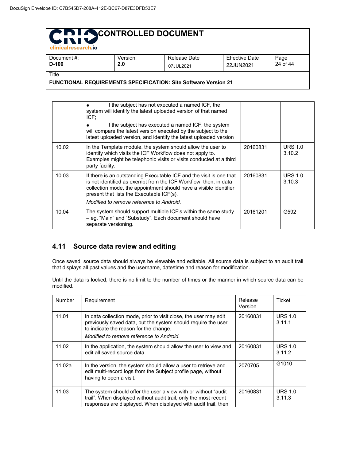| <b>CHINICEHICATES (CHINO)</b>                                                   |                 |                           |                                    |                  |  |
|---------------------------------------------------------------------------------|-----------------|---------------------------|------------------------------------|------------------|--|
| Document #:<br>$D-100$                                                          | Version:<br>2.0 | Release Date<br>07JUL2021 | <b>Effective Date</b><br>22JUN2021 | Page<br>24 of 44 |  |
| Title<br><b>FUNCTIONAL REQUIREMENTS SPECIFICATION: Site Software Version 21</b> |                 |                           |                                    |                  |  |

|       | If the subject has not executed a named ICF, the<br>system will identify the latest uploaded version of that named<br>$ICF$ :<br>If the subject has executed a named ICF, the system<br>will compare the latest version executed by the subject to the<br>latest uploaded version, and identify the latest uploaded version |          |                          |
|-------|-----------------------------------------------------------------------------------------------------------------------------------------------------------------------------------------------------------------------------------------------------------------------------------------------------------------------------|----------|--------------------------|
| 10.02 | In the Template module, the system should allow the user to<br>identify which visits the ICF Workflow does not apply to.<br>Examples might be telephonic visits or visits conducted at a third<br>party facility.                                                                                                           | 20160831 | <b>URS 1.0</b><br>3.10.2 |
| 10.03 | If there is an outstanding Executable ICF and the visit is one that<br>is not identified as exempt from the ICF Workflow, then, in data<br>collection mode, the appointment should have a visible identifier<br>present that lists the Executable ICF(s).<br>Modified to remove reference to Android.                       | 20160831 | <b>URS 1.0</b><br>3.10.3 |
| 10.04 | The system should support multiple ICF's within the same study<br>- eg, "Main" and "Substudy". Each document should have<br>separate versioning.                                                                                                                                                                            | 20161201 | G592                     |

#### **4.11 Source data review and editing**

Once saved, source data should always be viewable and editable. All source data is subject to an audit trail that displays all past values and the username, date/time and reason for modification.

Until the data is locked, there is no limit to the number of times or the manner in which source data can be modified.

| Number | Requirement                                                                                                                                                                                                             | Release<br>Version | Ticket                   |
|--------|-------------------------------------------------------------------------------------------------------------------------------------------------------------------------------------------------------------------------|--------------------|--------------------------|
| 11.01  | In data collection mode, prior to visit close, the user may edit<br>previously saved data, but the system should require the user<br>to indicate the reason for the change.<br>Modified to remove reference to Android. | 20160831           | <b>URS 1.0</b><br>3.11.1 |
| 11.02  | In the application, the system should allow the user to view and<br>edit all saved source data.                                                                                                                         | 20160831           | <b>URS 1.0</b><br>3.11.2 |
| 11.02a | In the version, the system should allow a user to retrieve and<br>edit multi-record logs from the Subject profile page, without<br>having to open a visit.                                                              | 2070705            | G1010                    |
| 11.03  | The system should offer the user a view with or without "audit"<br>trail". When displayed without audit trail, only the most recent<br>responses are displayed. When displayed with audit trail, then                   | 20160831           | <b>URS 1.0</b><br>3.11.3 |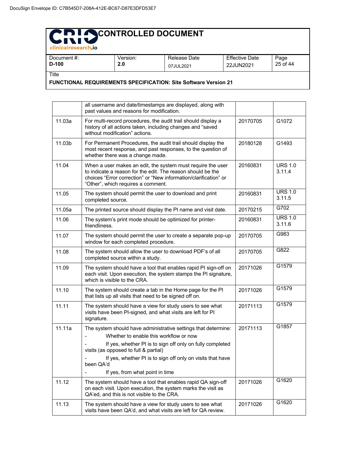# **CONTROLLED DOCUMENT**

| - Christian Cacarentis |                 |                           |                                    |                  |
|------------------------|-----------------|---------------------------|------------------------------------|------------------|
| Document #:<br>$D-100$ | Version:<br>2.0 | Release Date<br>07JUL2021 | <b>Effective Date</b><br>22JUN2021 | Page<br>25 of 44 |
| Title<br>_.  . _ _. _  | -----           | .<br>- -<br>_ _ _         |                                    |                  |

**FUNCTIONAL REQUIREMENTS SPECIFICATION: Site Software Version 21**

|        | all username and date/timestamps are displayed, along with<br>past values and reasons for modification.                                                                                                                                                                                                                      |          |                          |
|--------|------------------------------------------------------------------------------------------------------------------------------------------------------------------------------------------------------------------------------------------------------------------------------------------------------------------------------|----------|--------------------------|
| 11.03a | For multi-record procedures, the audit trail should display a<br>history of all actions taken, including changes and "saved<br>without modification" actions.                                                                                                                                                                | 20170705 | G1072                    |
| 11.03b | For Permanent Procedures, the audit trail should display the<br>most recent response, and past responses, to the question of<br>whether there was a change made.                                                                                                                                                             | 20180128 | G1493                    |
| 11.04  | When a user makes an edit, the system must require the user<br>to indicate a reason for the edit. The reason should be the<br>choices "Error correction" or "New information/clarification" or<br>"Other", which requires a comment.                                                                                         | 20160831 | <b>URS 1.0</b><br>3.11.4 |
| 11.05  | The system should permit the user to download and print<br>completed source.                                                                                                                                                                                                                                                 | 20160831 | <b>URS 1.0</b><br>3.11.5 |
| 11.05a | The printed source should display the PI name and visit date.                                                                                                                                                                                                                                                                | 20170215 | G702                     |
| 11.06  | The system's print mode should be optimized for printer-<br>friendliness.                                                                                                                                                                                                                                                    | 20160831 | <b>URS 1.0</b><br>3.11.6 |
| 11.07  | The system should permit the user to create a separate pop-up<br>window for each completed procedure.                                                                                                                                                                                                                        | 20170705 | G983                     |
| 11.08  | The system should allow the user to download PDF's of all<br>completed source within a study.                                                                                                                                                                                                                                | 20170705 | G822                     |
| 11.09  | The system should have a tool that enables rapid PI sign-off on<br>each visit. Upon execution, the system stamps the PI signature,<br>which is visible to the CRA.                                                                                                                                                           | 20171026 | G1579                    |
| 11.10  | The system should create a tab in the Home page for the PI<br>that lists up all visits that need to be signed off on.                                                                                                                                                                                                        | 20171026 | G1579                    |
| 11.11  | The system should have a view for study users to see what<br>visits have been PI-signed, and what visits are left for PI<br>signature.                                                                                                                                                                                       | 20171113 | G1579                    |
| 11.11a | The system should have administrative settings that determine:<br>Whether to enable this workflow or now<br>If yes, whether PI is to sign off only on fully completed<br>visits (as opposed to full & partial)<br>If yes, whether PI is to sign off only on visits that have<br>been QA'd<br>If yes, from what point in time | 20171113 | G1857                    |
| 11.12  | The system should have a tool that enables rapid QA sign-off<br>on each visit. Upon execution, the system marks the visit as<br>QA'ed, and this is not visible to the CRA.                                                                                                                                                   | 20171026 | G1620                    |
| 11.13  | The system should have a view for study users to see what<br>visits have been QA'd, and what visits are left for QA review.                                                                                                                                                                                                  | 20171026 | G1620                    |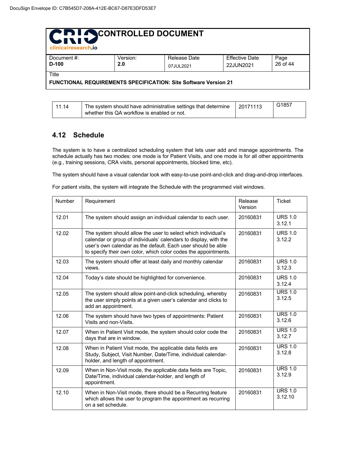| CRI SCONTROLLED DOCUMENT<br>clinicalresearch.jo                                 |                 |                           |                                    |                  |  |  |
|---------------------------------------------------------------------------------|-----------------|---------------------------|------------------------------------|------------------|--|--|
| Document #:<br>D-100                                                            | Version:<br>2.0 | Release Date<br>07JUL2021 | <b>Effective Date</b><br>22JUN2021 | Page<br>26 of 44 |  |  |
| Title<br><b>FUNCTIONAL REQUIREMENTS SPECIFICATION: Site Software Version 21</b> |                 |                           |                                    |                  |  |  |

#### **4.12 Schedule**

The system is to have a centralized scheduling system that lets user add and manage appointments. The schedule actually has two modes: one mode is for Patient Visits, and one mode is for all other appointments (e.g., training sessions, CRA visits, personal appointments, blocked time, etc).

The system should have a visual calendar look with easy-to-use point-and-click and drag-and-drop interfaces.

For patient visits, the system will integrate the Schedule with the programmed visit windows.

| Number | Requirement                                                                                                                                                                                                                                                          | Release<br>Version | <b>Ticket</b>             |
|--------|----------------------------------------------------------------------------------------------------------------------------------------------------------------------------------------------------------------------------------------------------------------------|--------------------|---------------------------|
| 12.01  | The system should assign an individual calendar to each user.                                                                                                                                                                                                        | 20160831           | <b>URS 1.0</b><br>3.12.1  |
| 12.02  | The system should allow the user to select which individual's<br>calendar or group of individuals' calendars to display, with the<br>user's own calendar as the default. Each user should be able<br>to specify their own color, which color codes the appointments. | 20160831           | <b>URS 1.0</b><br>3.12.2  |
| 12.03  | The system should offer at least daily and monthly calendar<br>views.                                                                                                                                                                                                | 20160831           | <b>URS 1.0</b><br>3.12.3  |
| 12.04  | Today's date should be highlighted for convenience.                                                                                                                                                                                                                  | 20160831           | <b>URS 1.0</b><br>3.12.4  |
| 12.05  | The system should allow point-and-click scheduling, whereby<br>the user simply points at a given user's calendar and clicks to<br>add an appointment.                                                                                                                | 20160831           | <b>URS 1.0</b><br>3.12.5  |
| 12.06  | The system should have two types of appointments: Patient<br>Visits and non-Visits.                                                                                                                                                                                  | 20160831           | <b>URS 1.0</b><br>3.12.6  |
| 12.07  | When in Patient Visit mode, the system should color code the<br>days that are in window.                                                                                                                                                                             | 20160831           | <b>URS 1.0</b><br>3.12.7  |
| 12.08  | When in Patient Visit mode, the applicable data fields are<br>Study, Subject, Visit Number, Date/Time, individual calendar-<br>holder, and length of appointment.                                                                                                    | 20160831           | <b>URS 1.0</b><br>3.12.8  |
| 12.09  | When in Non-Visit mode, the applicable data fields are Topic,<br>Date/Time, individual calendar-holder, and length of<br>appointment.                                                                                                                                | 20160831           | <b>URS 1.0</b><br>3.12.9  |
| 12.10  | When in Non-Visit mode, there should be a Recurring feature<br>which allows the user to program the appointment as recurring<br>on a set schedule.                                                                                                                   | 20160831           | <b>URS 1.0</b><br>3.12.10 |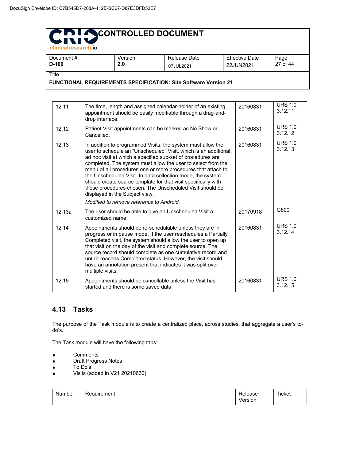| <b>CHINICARESEARCH.IO</b>                                              |          |              |                       |          |  |  |
|------------------------------------------------------------------------|----------|--------------|-----------------------|----------|--|--|
| Document #:                                                            | Version: | Release Date | <b>Effective Date</b> | Page     |  |  |
| $D-100$                                                                | 2.0      | 07JUL2021    | 22JUN2021             | 27 of 44 |  |  |
| Title                                                                  |          |              |                       |          |  |  |
| <b>FUNCTIONAL REQUIREMENTS SPECIFICATION: Site Software Version 21</b> |          |              |                       |          |  |  |

| 12.11  | The time, length and assigned calendar-holder of an existing<br>appointment should be easily modifiable through a drag-and-<br>drop interface.                                                                                                                                                                                                                                                                                                                                                                                                                                                           | 20160831 | <b>URS 1.0</b><br>3.12.11 |
|--------|----------------------------------------------------------------------------------------------------------------------------------------------------------------------------------------------------------------------------------------------------------------------------------------------------------------------------------------------------------------------------------------------------------------------------------------------------------------------------------------------------------------------------------------------------------------------------------------------------------|----------|---------------------------|
| 12.12  | Patient Visit appointments can be marked as No Show or<br>Cancelled.                                                                                                                                                                                                                                                                                                                                                                                                                                                                                                                                     | 20160831 | <b>URS 1.0</b><br>3.12.12 |
| 12.13  | In addition to programmed Visits, the system must allow the<br>user to schedule an "Unscheduled" Visit, which is an additional,<br>ad hoc visit at which a specified sub-set of procedures are<br>completed. The system must allow the user to select from the<br>menu of all procedures one or more procedures that attach to<br>the Unscheduled Visit. In data collection mode, the system<br>should create source template for that visit specifically with<br>those procedures chosen. The Unscheduled Visit should be<br>displayed in the Subject view.<br>Modified to remove reference to Android. | 20160831 | <b>URS 1.0</b><br>3.12.13 |
| 12.13a | The user should be able to give an Unscheduled Visit a<br>customized name.                                                                                                                                                                                                                                                                                                                                                                                                                                                                                                                               | 20170918 | G890                      |
| 12.14  | Appointments should be re-schedulable unless they are in<br>progress or in pause mode. If the user reschedules a Partially<br>Completed visit, the system should allow the user to open up<br>that visit on the day of the visit and complete source. The<br>source record should complete as one cumulative record and<br>until it reaches Completed status. However, the visit should<br>have an annotation present that indicates it was split over<br>multiple visits.                                                                                                                               | 20160831 | <b>URS 1.0</b><br>3.12.14 |
| 12.15  | Appointments should be cancellable unless the Visit has<br>started and there is some saved data.                                                                                                                                                                                                                                                                                                                                                                                                                                                                                                         | 20160831 | <b>URS 1.0</b><br>3.12.15 |

#### **4.13 Tasks**

The purpose of the Task module is to create a centralized place, across studies, that aggregate a user's todo's.

The Task module will have the following tabs:

- Comments
- Draft Progress Notes
- To Do's
- Visits (added in V21 20210630)

| Number | Requirement | elease  | Ticket |
|--------|-------------|---------|--------|
|        |             | Version |        |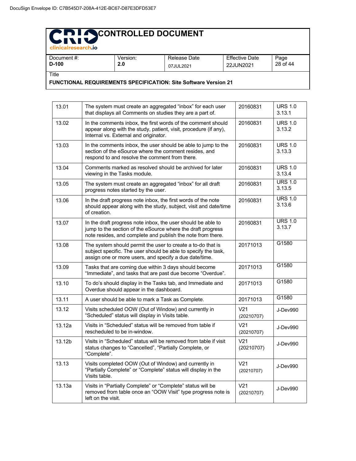#### **CONTROLLED DOCUMENT**  $\blacksquare$

| Document #:                                                            | Version: | Release Date | <b>Effective Date</b> | Page     |  |  |
|------------------------------------------------------------------------|----------|--------------|-----------------------|----------|--|--|
| $D-100$                                                                | 2.0      | 07JUL2021    | 22JUN2021             | 28 of 44 |  |  |
| Title                                                                  |          |              |                       |          |  |  |
| <b>FUNCTIONAL REQUIREMENTS SPECIFICATION: Site Software Version 21</b> |          |              |                       |          |  |  |

| טטו-י             | Z.U                                                                                                                                                                                        | 07JUL2021 | 22JUN2021                     | ZO 01 <del>44</del>      |
|-------------------|--------------------------------------------------------------------------------------------------------------------------------------------------------------------------------------------|-----------|-------------------------------|--------------------------|
| itle <sup>-</sup> | UNCTIONAL REQUIREMENTS SPECIFICATION: Site Software Version 21                                                                                                                             |           |                               |                          |
|                   |                                                                                                                                                                                            |           |                               |                          |
| 13.01             | The system must create an aggregated "inbox" for each user<br>that displays all Comments on studies they are a part of.                                                                    |           | 20160831                      | <b>URS 1.0</b><br>3.13.1 |
| 13.02             | In the comments inbox, the first words of the comment should<br>appear along with the study, patient, visit, procedure (if any),<br>Internal vs. External and originator.                  |           | 20160831                      | <b>URS 1.0</b><br>3.13.2 |
| 13.03             | In the comments inbox, the user should be able to jump to the<br>section of the eSource where the comment resides, and<br>respond to and resolve the comment from there.                   |           | 20160831                      | <b>URS 1.0</b><br>3.13.3 |
| 13.04             | Comments marked as resolved should be archived for later<br>viewing in the Tasks module.                                                                                                   |           | 20160831                      | <b>URS 1.0</b><br>3.13.4 |
| 13.05             | The system must create an aggregated "inbox" for all draft<br>progress notes started by the user.                                                                                          |           | 20160831                      | <b>URS 1.0</b><br>3.13.5 |
| 13.06             | In the draft progress note inbox, the first words of the note<br>should appear along with the study, subject, visit and date/time<br>of creation.                                          |           | 20160831                      | <b>URS 1.0</b><br>3.13.6 |
| 13.07             | In the draft progress note inbox, the user should be able to<br>jump to the section of the eSource where the draft progress<br>note resides, and complete and publish the note from there. |           | 20160831                      | <b>URS 1.0</b><br>3.13.7 |
| 13.08             | The system should permit the user to create a to-do that is<br>subject specific. The user should be able to specify the task,<br>assign one or more users, and specify a due date/time.    |           | 20171013                      | G1580                    |
| 13.09             | Tasks that are coming due within 3 days should become<br>"Immediate", and tasks that are past due become "Overdue".                                                                        |           | 20171013                      | G1580                    |
| 13.10             | To do's should display in the Tasks tab, and Immediate and<br>Overdue should appear in the dashboard.                                                                                      |           | 20171013                      | G1580                    |
| 13.11             | A user should be able to mark a Task as Complete.                                                                                                                                          |           | 20171013                      | G1580                    |
| 13.12             | Visits scheduled OOW (Out of Window) and currently in<br>"Scheduled" status will display in Visits table.                                                                                  |           | V <sub>21</sub><br>(20210707) | J-Dev990                 |
| 13.12a            | Visits in "Scheduled" status will be removed from table if<br>rescheduled to be in-window.                                                                                                 |           | V <sub>21</sub><br>(20210707) | J-Dev990                 |
| 13.12b            | Visits in "Scheduled" status will be removed from table if visit<br>status changes to "Cancelled", "Partially Complete, or<br>"Complete".                                                  |           | V <sub>21</sub><br>(20210707) | J-Dev990                 |
| 13.13             | Visits completed OOW (Out of Window) and currently in<br>"Partially Complete" or "Complete" status will display in the<br>Visits table.                                                    |           | V <sub>21</sub><br>(20210707) | J-Dev990                 |
| 13.13a            | Visits in "Partially Complete" or "Complete" status will be<br>removed from table once an "OOW Visit" type progress note is<br>left on the visit.                                          |           | V <sub>21</sub><br>(20210707) | J-Dev990                 |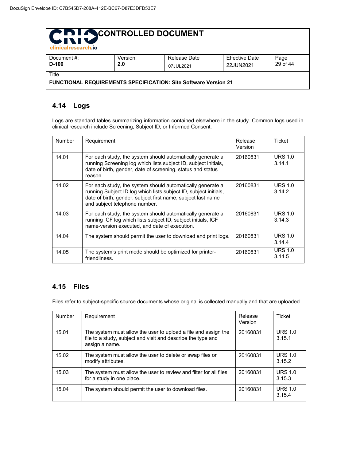| <b>PIN CONTROLLED DOCUMENT</b><br>LINIV<br>clinicalresearch.jo |          |                                                                        |                       |          |  |  |  |
|----------------------------------------------------------------|----------|------------------------------------------------------------------------|-----------------------|----------|--|--|--|
| Document #:                                                    | Version: | Release Date                                                           | <b>Effective Date</b> | Page     |  |  |  |
| $D-100$                                                        | 2.0      | 07JUL2021                                                              | 22JUN2021             | 29 of 44 |  |  |  |
| Title                                                          |          |                                                                        |                       |          |  |  |  |
|                                                                |          | <b>FUNCTIONAL REQUIREMENTS SPECIFICATION: Site Software Version 21</b> |                       |          |  |  |  |

#### **4.14 Logs**

Logs are standard tables summarizing information contained elsewhere in the study. Common logs used in clinical research include Screening, Subject ID, or Informed Consent.

| <b>Number</b> | Requirement                                                                                                                                                                                                                     | Release<br>Version | Ticket                   |
|---------------|---------------------------------------------------------------------------------------------------------------------------------------------------------------------------------------------------------------------------------|--------------------|--------------------------|
| 14.01         | For each study, the system should automatically generate a<br>running Screening log which lists subject ID, subject initials,<br>date of birth, gender, date of screening, status and status<br>reason.                         | 20160831           | <b>URS 1.0</b><br>3.14.1 |
| 14.02         | For each study, the system should automatically generate a<br>running Subject ID log which lists subject ID, subject initials,<br>date of birth, gender, subject first name, subject last name<br>and subject telephone number. | 20160831           | <b>URS 1.0</b><br>3.14.2 |
| 14.03         | For each study, the system should automatically generate a<br>running ICF log which lists subject ID, subject initials, ICF<br>name-version executed, and date of execution.                                                    | 20160831           | <b>URS 1.0</b><br>3.14.3 |
| 14.04         | The system should permit the user to download and print logs.                                                                                                                                                                   | 20160831           | <b>URS 1.0</b><br>3.14.4 |
| 14.05         | The system's print mode should be optimized for printer-<br>friendliness.                                                                                                                                                       | 20160831           | <b>URS 1.0</b><br>3.14.5 |

#### **4.15 Files**

Files refer to subject-specific source documents whose original is collected manually and that are uploaded.

| <b>Number</b> | Requirement                                                                                                                                      | Release<br>Version | Ticket                   |
|---------------|--------------------------------------------------------------------------------------------------------------------------------------------------|--------------------|--------------------------|
| 15.01         | The system must allow the user to upload a file and assign the<br>file to a study, subject and visit and describe the type and<br>assign a name. | 20160831           | <b>URS 1.0</b><br>3.15.1 |
| 15.02         | The system must allow the user to delete or swap files or<br>modify attributes.                                                                  | 20160831           | <b>URS 1.0</b><br>3.15.2 |
| 15.03         | The system must allow the user to review and filter for all files<br>for a study in one place.                                                   | 20160831           | <b>URS 1.0</b><br>3.15.3 |
| 15.04         | The system should permit the user to download files.                                                                                             | 20160831           | <b>URS 1.0</b><br>3.15.4 |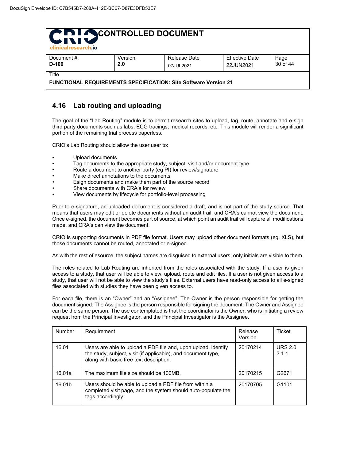| CRI SCONTROLLED DOCUMENT<br>clinicalresearch.jo                                 |                 |                           |                                    |                  |  |  |
|---------------------------------------------------------------------------------|-----------------|---------------------------|------------------------------------|------------------|--|--|
| Document #:<br>$D-100$                                                          | Version:<br>2.0 | Release Date<br>07JUL2021 | <b>Effective Date</b><br>22JUN2021 | Page<br>30 of 44 |  |  |
| Title<br><b>FUNCTIONAL REQUIREMENTS SPECIFICATION: Site Software Version 21</b> |                 |                           |                                    |                  |  |  |

#### **4.16 Lab routing and uploading**

The goal of the "Lab Routing" module is to permit research sites to upload, tag, route, annotate and e-sign third party documents such as labs, ECG tracings, medical records, etc. This module will render a significant portion of the remaining trial process paperless.

CRIO's Lab Routing should allow the user user to:

- Upload documents
- Tag documents to the appropriate study, subject, visit and/or document type
- Route a document to another party (eg PI) for review/signature
- Make direct annotations to the documents
- Esign documents and make them part of the source record
- Share documents with CRA's for review
- View documents by lifecycle for portfolio-level processing

Prior to e-signature, an uploaded document is considered a draft, and is not part of the study source. That means that users may edit or delete documents without an audit trail, and CRA's cannot view the document. Once e-signed, the document becomes part of source, at which point an audit trail will capture all modifications made, and CRA's can view the document.

CRIO is supporting documents in PDF file format. Users may upload other document formats (eg, XLS), but those documents cannot be routed, annotated or e-signed.

As with the rest of esource, the subject names are disguised to external users; only initials are visible to them.

The roles related to Lab Routing are inherited from the roles associated with the study: If a user is given access to a study, that user will be able to view, upload, route and edit files. If a user is not given access to a study, that user will not be able to view the study's files. External users have read-only access to all e-signed files associated with studies they have been given access to.

For each file, there is an "Owner" and an "Assignee". The Owner is the person responsible for getting the document signed. The Assignee is the person responsible for signing the document. The Owner and Assignee can be the same person. The use contemplated is that the coordinator is the Owner, who is initiating a review request from the Principal Investigator, and the Principal Investigator is the Assignee.

| <b>Number</b> | Requirement                                                                                                                                                                | Release<br>Version | Ticket                  |
|---------------|----------------------------------------------------------------------------------------------------------------------------------------------------------------------------|--------------------|-------------------------|
| 16.01         | Users are able to upload a PDF file and, upon upload, identify<br>the study, subject, visit (if applicable), and document type,<br>along with basic free text description. | 20170214           | <b>URS 2.0</b><br>3.1.1 |
| 16.01a        | The maximum file size should be 100MB.                                                                                                                                     | 20170215           | G2671                   |
| 16.01b        | Users should be able to upload a PDF file from within a<br>completed visit page, and the system should auto-populate the<br>tags accordingly.                              | 20170705           | G <sub>1101</sub>       |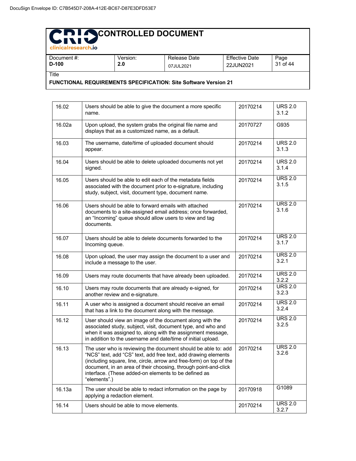| clinicalresearch.jo    |                 |                           |                                    |                  |
|------------------------|-----------------|---------------------------|------------------------------------|------------------|
| Document #:<br>$D-100$ | Version:<br>2.0 | Release Date<br>07JUL2021 | <b>Effective Date</b><br>22JUN2021 | Page<br>31 of 44 |
| Title                  |                 |                           |                                    |                  |

**FUNCTIONAL REQUIREMENTS SPECIFICATION: Site Software Version 21**

| 16.02  | Users should be able to give the document a more specific<br>name.                                                                                                                                                                                                                                                                                | 20170214 | <b>URS 2.0</b><br>3.1.2 |
|--------|---------------------------------------------------------------------------------------------------------------------------------------------------------------------------------------------------------------------------------------------------------------------------------------------------------------------------------------------------|----------|-------------------------|
| 16.02a | Upon upload, the system grabs the original file name and<br>displays that as a customized name, as a default.                                                                                                                                                                                                                                     | 20170727 | G935                    |
| 16.03  | The username, date/time of uploaded document should<br>appear.                                                                                                                                                                                                                                                                                    | 20170214 | <b>URS 2.0</b><br>3.1.3 |
| 16.04  | Users should be able to delete uploaded documents not yet<br>signed.                                                                                                                                                                                                                                                                              | 20170214 | <b>URS 2.0</b><br>3.1.4 |
| 16.05  | Users should be able to edit each of the metadata fields<br>associated with the document prior to e-signature, including<br>study, subject, visit, document type, document name.                                                                                                                                                                  | 20170214 | <b>URS 2.0</b><br>3.1.5 |
| 16.06  | Users should be able to forward emails with attached<br>documents to a site-assigned email address; once forwarded,<br>an "Incoming" queue should allow users to view and tag<br>documents.                                                                                                                                                       | 20170214 | <b>URS 2.0</b><br>3.1.6 |
| 16.07  | Users should be able to delete documents forwarded to the<br>Incoming queue.                                                                                                                                                                                                                                                                      | 20170214 | <b>URS 2.0</b><br>3.1.7 |
| 16.08  | Upon upload, the user may assign the document to a user and<br>include a message to the user.                                                                                                                                                                                                                                                     | 20170214 | <b>URS 2.0</b><br>3.2.1 |
| 16.09  | Users may route documents that have already been uploaded.                                                                                                                                                                                                                                                                                        | 20170214 | <b>URS 2.0</b><br>3.2.2 |
| 16.10  | Users may route documents that are already e-signed, for<br>another review and e-signature.                                                                                                                                                                                                                                                       | 20170214 | <b>URS 2.0</b><br>3.2.3 |
| 16.11  | A user who is assigned a document should receive an email<br>that has a link to the document along with the message.                                                                                                                                                                                                                              | 20170214 | <b>URS 2.0</b><br>3.2.4 |
| 16.12  | User should view an image of the document along with the<br>associated study, subject, visit, document type, and who and<br>when it was assigned to, along with the assignment message,<br>in addition to the username and date/time of initial upload.                                                                                           | 20170214 | <b>URS 2.0</b><br>3.2.5 |
| 16.13  | The user who is reviewing the document should be able to: add<br>"NCS" text, add "CS" text, add free text, add drawing elements<br>(including square, line, circle, arrow and free-form) on top of the<br>document, in an area of their choosing, through point-and-click<br>interface. (These added-on elements to be defined as<br>"elements".) | 20170214 | <b>URS 2.0</b><br>3.2.6 |
| 16.13a | The user should be able to redact information on the page by<br>applying a redaction element.                                                                                                                                                                                                                                                     | 20170918 | G1089                   |
| 16.14  | Users should be able to move elements.                                                                                                                                                                                                                                                                                                            | 20170214 | <b>URS 2.0</b><br>3.2.7 |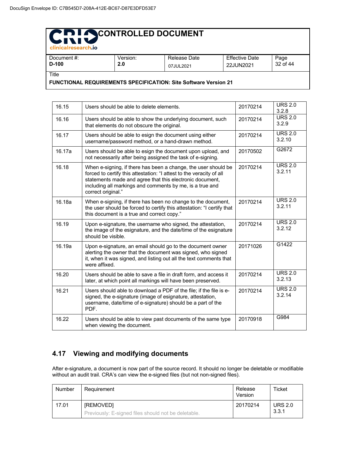| . China kata ing Separat Kabupatèn                                     |          |              |                |          |
|------------------------------------------------------------------------|----------|--------------|----------------|----------|
| Document #:                                                            | Version: | Release Date | Effective Date | Page     |
| $D-100$                                                                | 2.0      | 07JUL2021    | 22JUN2021      | 32 of 44 |
| Title                                                                  |          |              |                |          |
| <b>FUNCTIONAL REQUIREMENTS SPECIFICATION: Site Software Version 21</b> |          |              |                |          |

16.15 Users should be able to delete elements. 20170214 URS 2.0 3.2.8 16.16 **Users should be able to show the underlying document, such** that elements do not obscure the original. 20170214 URS 2.0 3.2.9 16.17 **Users should be able to esign the document using either** username/password method, or a hand-drawn method. 20170214 URS 2.0 3.2.10 16.17a | Users should be able to esign the document upon upload, and not necessarily after being assigned the task of e-signing. 20170502 G2672 16.18 When e-signing, if there has been a change, the user should be forced to certify this attestation: "I attest to the veracity of all statements made and agree that this electronic document, including all markings and comments by me, is a true and correct original." 20170214 URS 2.0 3.2.11 16.18a When e-signing, if there has been no change to the document, the user should be forced to certify this attestation: "I certify that this document is a true and correct copy." 20170214 URS 2.0 3.2.11 16.19 Upon e-signature, the username who signed, the attestation, the image of the esignature, and the date/time of the esignature should be visible. 20170214 URS 2.0 3.2.12 16.19a Upon e-signature, an email should go to the document owner alerting the owner that the document was signed, who signed it, when it was signed, and listing out all the text comments that were affixed. 20171026 G1422 16.20 | Users should be able to save a file in draft form, and access it later, at which point all markings will have been preserved. 20170214 URS 2.0 3.2.13 16.21 Users should able to download a PDF of the file; if the file is esigned, the e-signature (image of esignature, attestation, username, date/time of e-signature) should be a part of the PDF. 20170214 URS 2.0 3.2.14 16.22 Users should be able to view past documents of the same type when viewing the document. 20170918 G984

#### **4.17 Viewing and modifying documents**

After e-signature, a document is now part of the source record. It should no longer be deletable or modifiable without an audit trail. CRA's can view the e-signed files (but not non-signed files).

| Number | Requirement                                                             | Release<br>Version | Ticket                  |
|--------|-------------------------------------------------------------------------|--------------------|-------------------------|
| 17.01  | <b>IREMOVEDI</b><br>Previously: E-signed files should not be deletable. | 20170214           | <b>URS 2.0</b><br>3.3.1 |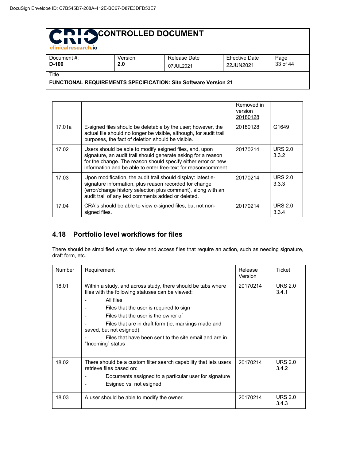| <b>PID I ACONTROLLED DOCUMENT</b><br>WINIV<br>clinicalresearch.jo        |                 |                           |                                    |                  |  |  |
|--------------------------------------------------------------------------|-----------------|---------------------------|------------------------------------|------------------|--|--|
| Document #:<br>$D-100$                                                   | Version:<br>2.0 | Release Date<br>07JUL2021 | <b>Effective Date</b><br>22JUN2021 | Page<br>33 of 44 |  |  |
| Title<br>FUNCTIONAL REQUIREMENTS SPECIFICATION: Site Software Version 21 |                 |                           |                                    |                  |  |  |

|        |                                                                                                                                                                                                                                                             | Removed in<br>version<br>20180128 |                         |
|--------|-------------------------------------------------------------------------------------------------------------------------------------------------------------------------------------------------------------------------------------------------------------|-----------------------------------|-------------------------|
| 17.01a | E-signed files should be deletable by the user; however, the<br>actual file should no longer be visible, although, for audit trail<br>purposes, the fact of deletion should be visible.                                                                     | 20180128                          | G1649                   |
| 17.02  | Users should be able to modify esigned files, and, upon<br>signature, an audit trail should generate asking for a reason<br>for the change. The reason should specify either error or new<br>information and be able to enter free-text for reason/comment. | 20170214                          | <b>URS 2.0</b><br>3.3.2 |
| 17.03  | Upon modification, the audit trail should display: latest e-<br>signature information, plus reason recorded for change<br>(error/change history selection plus comment), along with an<br>audit trail of any text comments added or deleted.                | 20170214                          | <b>URS 2.0</b><br>3.3.3 |
| 17.04  | CRA's should be able to view e-signed files, but not non-<br>signed files.                                                                                                                                                                                  | 20170214                          | <b>URS 2.0</b><br>3.3.4 |

#### **4.18 Portfolio level workflows for files**

There should be simplified ways to view and access files that require an action, such as needing signature, draft form, etc.

| <b>Number</b> | Requirement                                                                                                                                                                                                                                                                                                                                                                      | Release<br>Version | Ticket                      |
|---------------|----------------------------------------------------------------------------------------------------------------------------------------------------------------------------------------------------------------------------------------------------------------------------------------------------------------------------------------------------------------------------------|--------------------|-----------------------------|
| 18.01         | Within a study, and across study, there should be tabs where<br>files with the following statuses can be viewed:<br>All files<br>Files that the user is required to sign<br>Files that the user is the owner of<br>Files that are in draft form (ie, markings made and<br>saved, but not esigned)<br>Files that have been sent to the site email and are in<br>"Incoming" status | 20170214           | <b>URS 2.0</b><br>3.4.1     |
| 18.02         | There should be a custom filter search capability that lets users<br>retrieve files based on:<br>Documents assigned to a particular user for signature<br>Esigned vs. not esigned                                                                                                                                                                                                | 20170214           | URS <sub>2.0</sub><br>3.4.2 |
| 18.03         | A user should be able to modify the owner.                                                                                                                                                                                                                                                                                                                                       | 20170214           | <b>URS 2.0</b><br>3.4.3     |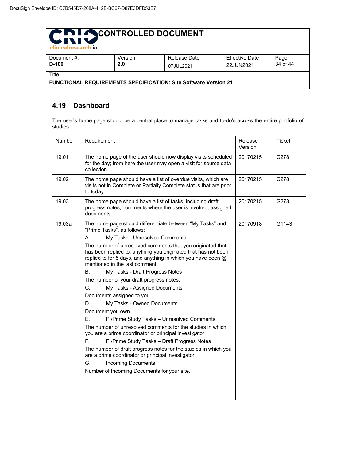| CRI OCONTROLLED DOCUMENT<br>clinicalresearch.jo                          |                 |                           |                                    |                  |  |
|--------------------------------------------------------------------------|-----------------|---------------------------|------------------------------------|------------------|--|
| Document #:<br>D-100                                                     | Version:<br>2.0 | Release Date<br>07JUL2021 | <b>Effective Date</b><br>22JUN2021 | Page<br>34 of 44 |  |
| Title<br>FUNCTIONAL REQUIREMENTS SPECIFICATION: Site Software Version 21 |                 |                           |                                    |                  |  |

#### **4.19 Dashboard**

The user's home page should be a central place to manage tasks and to-do's across the entire portfolio of studies.

| <b>Number</b> | Requirement                                                                                                                                                                                                                      | Release<br>Version | <b>Ticket</b> |
|---------------|----------------------------------------------------------------------------------------------------------------------------------------------------------------------------------------------------------------------------------|--------------------|---------------|
| 19.01         | The home page of the user should now display visits scheduled<br>for the day; from here the user may open a visit for source data<br>collection.                                                                                 | 20170215           | G278          |
| 19.02         | The home page should have a list of overdue visits, which are<br>visits not in Complete or Partially Complete status that are prior<br>to today.                                                                                 | 20170215           | G278          |
| 19.03         | The home page should have a list of tasks, including draft<br>progress notes, comments where the user is invoked, assigned<br>documents                                                                                          | 20170215           | G278          |
| 19.03a        | The home page should differentiate between "My Tasks" and<br>"Prime Tasks", as follows:                                                                                                                                          | 20170918           | G1143         |
|               | My Tasks - Unresolved Comments<br>А.                                                                                                                                                                                             |                    |               |
|               | The number of unresolved comments that you originated that<br>has been replied to, anything you originated that has not been<br>replied to for 5 days, and anything in which you have been $@$<br>mentioned in the last comment. |                    |               |
|               | В.<br>My Tasks - Draft Progress Notes                                                                                                                                                                                            |                    |               |
|               | The number of your draft progress notes.                                                                                                                                                                                         |                    |               |
|               | C.<br>My Tasks - Assigned Documents                                                                                                                                                                                              |                    |               |
|               | Documents assigned to you.                                                                                                                                                                                                       |                    |               |
|               | My Tasks - Owned Documents<br>D.                                                                                                                                                                                                 |                    |               |
|               | Document you own.                                                                                                                                                                                                                |                    |               |
|               | Е.<br>Pl/Prime Study Tasks - Unresolved Comments                                                                                                                                                                                 |                    |               |
|               | The number of unresolved comments for the studies in which<br>you are a prime coordinator or principal investigator.                                                                                                             |                    |               |
|               | F.<br>Pl/Prime Study Tasks - Draft Progress Notes                                                                                                                                                                                |                    |               |
|               | The number of draft progress notes for the studies in which you<br>are a prime coordinator or principal investigator.                                                                                                            |                    |               |
|               | G.<br><b>Incoming Documents</b>                                                                                                                                                                                                  |                    |               |
|               | Number of Incoming Documents for your site.                                                                                                                                                                                      |                    |               |
|               |                                                                                                                                                                                                                                  |                    |               |
|               |                                                                                                                                                                                                                                  |                    |               |
|               |                                                                                                                                                                                                                                  |                    |               |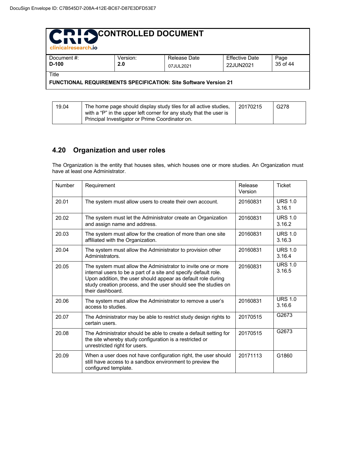| CRI OCONTROLLED DOCUMENT<br>clinicalresearch.jo |          |                                                                        |                       |          |  |
|-------------------------------------------------|----------|------------------------------------------------------------------------|-----------------------|----------|--|
| Document #:                                     | Version: | Release Date                                                           | <b>Effective Date</b> | Page     |  |
| $D-100$                                         | 2.0      | 07JUL2021                                                              | 22JUN2021             | 35 of 44 |  |
| Title                                           |          |                                                                        |                       |          |  |
|                                                 |          | <b>FUNCTIONAL REQUIREMENTS SPECIFICATION: Site Software Version 21</b> |                       |          |  |

| 19.04 | The home page should display study tiles for all active studies.<br>with a "P" in the upper left corner for any study that the user is | 20170215 | G278 |
|-------|----------------------------------------------------------------------------------------------------------------------------------------|----------|------|
|       | Principal Investigator or Prime Coordinator on.                                                                                        |          |      |

#### **4.20 Organization and user roles**

The Organization is the entity that houses sites, which houses one or more studies. An Organization must have at least one Administrator.

| Number | Requirement                                                                                                                                                                                                                                                                            | Release<br>Version | <b>Ticket</b>            |
|--------|----------------------------------------------------------------------------------------------------------------------------------------------------------------------------------------------------------------------------------------------------------------------------------------|--------------------|--------------------------|
| 20.01  | The system must allow users to create their own account.                                                                                                                                                                                                                               | 20160831           | <b>URS 1.0</b><br>3.16.1 |
| 20.02  | The system must let the Administrator create an Organization<br>and assign name and address.                                                                                                                                                                                           | 20160831           | URS $1.0$<br>3.16.2      |
| 20.03  | The system must allow for the creation of more than one site<br>affiliated with the Organization.                                                                                                                                                                                      | 20160831           | <b>URS 1.0</b><br>3.16.3 |
| 20.04  | The system must allow the Administrator to provision other<br>Administrators.                                                                                                                                                                                                          | 20160831           | <b>URS 1.0</b><br>3.16.4 |
| 20.05  | The system must allow the Administrator to invite one or more<br>internal users to be a part of a site and specify default role.<br>Upon addition, the user should appear as default role during<br>study creation process, and the user should see the studies on<br>their dashboard. | 20160831           | URS $1.0$<br>3.16.5      |
| 20.06  | The system must allow the Administrator to remove a user's<br>access to studies.                                                                                                                                                                                                       | 20160831           | <b>URS 1.0</b><br>3.16.6 |
| 20.07  | The Administrator may be able to restrict study design rights to<br>certain users.                                                                                                                                                                                                     | 20170515           | G2673                    |
| 20.08  | The Administrator should be able to create a default setting for<br>the site whereby study configuration is a restricted or<br>unrestricted right for users.                                                                                                                           | 20170515           | G2673                    |
| 20.09  | When a user does not have configuration right, the user should<br>still have access to a sandbox environment to preview the<br>configured template.                                                                                                                                    | 20171113           | G1860                    |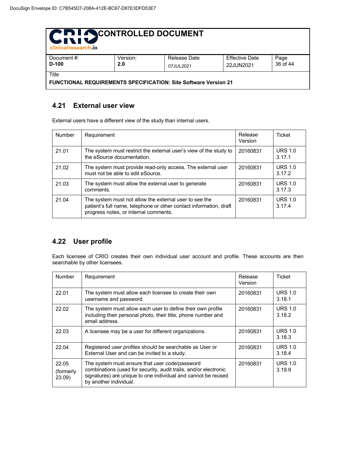| CRI SCONTROLLED DOCUMENT<br>clinicalresearch.jo                        |          |              |                       |          |  |
|------------------------------------------------------------------------|----------|--------------|-----------------------|----------|--|
| Document #:                                                            | Version: | Release Date | <b>Effective Date</b> | Page     |  |
| $D-100$                                                                | 2.0      | 07JUL2021    | 22JUN2021             | 36 of 44 |  |
| Title                                                                  |          |              |                       |          |  |
| <b>FUNCTIONAL REQUIREMENTS SPECIFICATION: Site Software Version 21</b> |          |              |                       |          |  |

#### **4.21 External user view**

External users have a different view of the study than internal users.

| <b>Number</b> | Requirement                                                                                                                                                           | Release<br>Version | Ticket                   |
|---------------|-----------------------------------------------------------------------------------------------------------------------------------------------------------------------|--------------------|--------------------------|
| 21.01         | The system must restrict the external user's view of the study to<br>the eSource documentation.                                                                       | 20160831           | <b>URS 1.0</b><br>3.17.1 |
| 21.02         | The system must provide read-only access. The external user<br>must not be able to edit eSource.                                                                      | 20160831           | <b>URS 1.0</b><br>3.17.2 |
| 21.03         | The system must allow the external user to generate<br>comments.                                                                                                      | 20160831           | <b>URS 1.0</b><br>3.17.3 |
| 21.04         | The system must not allow the external user to see the<br>patient's full name, telephone or other contact information, draft<br>progress notes, or internal comments. | 20160831           | <b>URS 1.0</b><br>3.17.4 |

#### **4.22 User profile**

Each licensee of CRIO creates their own individual user account and profile. These accounts are then searchable by other licensees.

| <b>Number</b>                | Requirement                                                                                                                                                                                                   | Release<br>Version | Ticket                   |
|------------------------------|---------------------------------------------------------------------------------------------------------------------------------------------------------------------------------------------------------------|--------------------|--------------------------|
| 22.01                        | The system must allow each licensee to create their own<br>username and password.                                                                                                                             | 20160831           | <b>URS 1.0</b><br>3.18.1 |
| 22.02                        | The system must allow each user to define their own profile<br>including their personal photo, their title, phone number and<br>email address.                                                                | 20160831           | <b>URS 1.0</b><br>3.18.2 |
| 22.03                        | A licensee may be a user for different organizations.                                                                                                                                                         | 20160831           | <b>URS 1.0</b><br>3.18.3 |
| 22.04                        | Registered user profiles should be searchable as User or<br>External User and can be invited to a study.                                                                                                      | 20160831           | <b>URS 1.0</b><br>3.18.4 |
| 22.05<br>(formerly)<br>23.09 | The system must ensure that user code/password<br>combinations (used for security, audit trails, and/or electronic<br>signatures) are unique to one individual and cannot be reused<br>by another individual. | 20160831           | <b>URS 1.0</b><br>3.19.9 |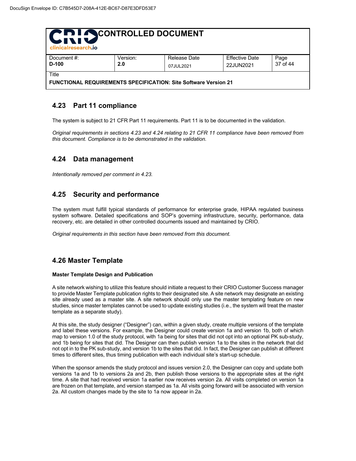| <b>PIL ACONTROLLED DOCUMENT</b><br><b>WINIM</b><br>clinicalresearch.jo                |                 |              |                                    |                  |  |
|---------------------------------------------------------------------------------------|-----------------|--------------|------------------------------------|------------------|--|
| Document #:<br>$D-100$                                                                | Version:<br>2.0 | Release Date | <b>Effective Date</b><br>22JUN2021 | Page<br>37 of 44 |  |
| 07JUL2021<br>Title<br>FUNCTIONAL REQUIREMENTS SPECIFICATION: Site Software Version 21 |                 |              |                                    |                  |  |

#### **4.23 Part 11 compliance**

The system is subject to 21 CFR Part 11 requirements. Part 11 is to be documented in the validation.

*Original requirements in sections 4.23 and 4.24 relating to 21 CFR 11 compliance have been removed from this document. Compliance is to be demonstrated in the validation.*

#### **4.24 Data management**

*Intentionally removed per comment in 4.23.*

#### **4.25 Security and performance**

The system must fulfill typical standards of performance for enterprise grade, HIPAA regulated business system software. Detailed specifications and SOP's governing infrastructure, security, performance, data recovery, etc. are detailed in other controlled documents issued and maintained by CRIO.

*Original requirements in this section have been removed from this document.*

#### **4.26 Master Template**

#### **Master Template Design and Publication**

A site network wishing to utilize this feature should initiate a request to their CRIO Customer Success manager to provide Master Template publication rights to their designated site. A site network may designate an existing site already used as a master site. A site network should only use the master templating feature on new studies, since master templates cannot be used to update existing studies (i.e., the system will treat the master template as a separate study).

At this site, the study designer ("Designer") can, within a given study, create multiple versions of the template and label these versions. For example, the Designer could create version 1a and version 1b, both of which map to version 1.0 of the study protocol, with 1a being for sites that did not opt into an optional PK sub-study, and 1b being for sites that did. The Designer can then publish version 1a to the sites in the network that did not opt in to the PK sub-study, and version 1b to the sites that did. In fact, the Designer can publish at different times to different sites, thus timing publication with each individual site's start-up schedule.

When the sponsor amends the study protocol and issues version 2.0, the Designer can copy and update both versions 1a and 1b to versions 2a and 2b, then publish those versions to the appropriate sites at the right time. A site that had received version 1a earlier now receives version 2a. All visits completed on version 1a are frozen on that template, and version stamped as 1a. All visits going forward will be associated with version 2a. All custom changes made by the site to 1a now appear in 2a.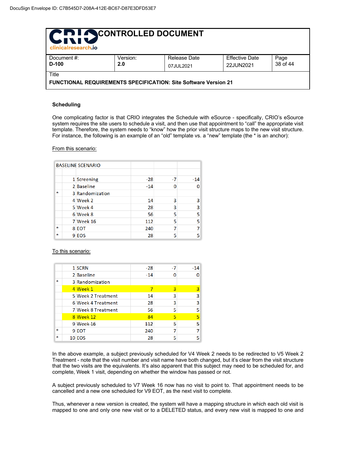| <b>PIL ACONTROLLED DOCUMENT</b><br>Litiu<br>clinicalresearch.jo                 |                 |                           |                                    |                  |  |
|---------------------------------------------------------------------------------|-----------------|---------------------------|------------------------------------|------------------|--|
| Document #:<br>$D-100$                                                          | Version:<br>2.0 | Release Date<br>07JUL2021 | <b>Effective Date</b><br>22JUN2021 | Page<br>38 of 44 |  |
| Title<br><b>FUNCTIONAL REQUIREMENTS SPECIFICATION: Site Software Version 21</b> |                 |                           |                                    |                  |  |

#### **Scheduling**

One complicating factor is that CRIO integrates the Schedule with eSource - specifically, CRIO's eSource system requires the site users to schedule a visit, and then use that appointment to "call" the appropriate visit template. Therefore, the system needs to "know" how the prior visit structure maps to the new visit structure. For instance, the following is an example of an "old" template vs. a "new" template (the \* is an anchor):

#### From this scenario:

|   | <b>BASELINE SCENARIO</b> |       |    |       |
|---|--------------------------|-------|----|-------|
|   | 1 Screening              | $-28$ | -7 | $-14$ |
|   | 2 Baseline               | $-14$ |    |       |
| × | 3 Randomization          |       |    |       |
|   | 4 Week 2                 | 14    | 3  | з     |
|   | 5 Week 4                 | 28    | 3  | 3     |
|   | 6 Week 8                 | 56    | ς  | 5     |
|   | <b>7 Week 16</b>         | 112   | 5  |       |
| * | 8 EOT                    | 240   |    |       |
| * | 9 EOS                    | 28    |    |       |

To this scenario:

|    | 1 SCRN             | $-28$ | -7 | $-14$ |
|----|--------------------|-------|----|-------|
|    | 2 Baseline         | $-14$ |    |       |
| эk | 3 Randomization    |       |    |       |
|    | 4 Week 1           |       | 3  | з     |
|    | 5 Week 2 Treatment | 14    | 3  | з     |
|    | 6 Week 4 Treatment | 28    | 3  | ٩     |
|    | 7 Week 8 Treatment | 56    | 5  | 5     |
|    | 8 Week 12          | 84    | 5  |       |
|    | 9 Week 16          | 112   | 5  | 5     |
| ×. | 9 EOT              | 240   |    |       |
| эk | <b>10 EOS</b>      | 28    |    |       |

In the above example, a subject previously scheduled for V4 Week 2 needs to be redirected to V5 Week 2 Treatment - note that the visit number and visit name have both changed, but it's clear from the visit structure that the two visits are the equivalents. It's also apparent that this subject may need to be scheduled for, and complete, Week 1 visit, depending on whether the window has passed or not.

A subject previously scheduled to V7 Week 16 now has no visit to point to. That appointment needs to be cancelled and a new one scheduled for V9 EOT, as the next visit to complete.

Thus, whenever a new version is created, the system will have a mapping structure in which each old visit is mapped to one and only one new visit or to a DELETED status, and every new visit is mapped to one and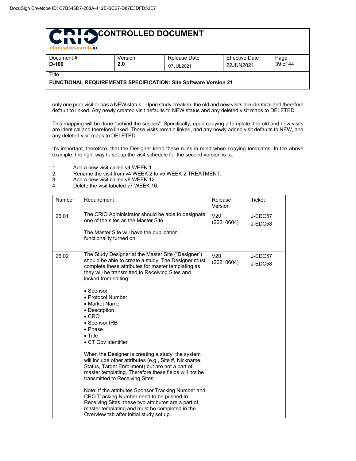| Chi SCONTROLLED DOCUMENT<br>clinicalresearch.jo |                 |                                                                 |                                    |                  |  |  |  |
|-------------------------------------------------|-----------------|-----------------------------------------------------------------|------------------------------------|------------------|--|--|--|
| Document #:<br>$D-100$                          | Version:<br>2.0 | Release Date                                                    | <b>Effective Date</b><br>22JUN2021 | Page<br>39 of 44 |  |  |  |
| 07JUL2021<br>Title                              |                 |                                                                 |                                    |                  |  |  |  |
|                                                 |                 | FUNCTIONAL REQUIREMENTS SPECIFICATION: Site Software Version 21 |                                    |                  |  |  |  |

only one prior visit or has a NEW status. Upon study creation, the old and new visits are identical and therefore default to linked. Any newly created visit defaults to NEW status and any deleted visit maps to DELETED.

This mapping will be done "behind the scenes". Specifically, upon copying a template, the old and new visits are identical and therefore linked. Those visits remain linked, and any newly added visit defaults to NEW, and any deleted visit maps to DELETED.

It's important, therefore, that the Designer keep these rules in mind when copying templates. In the above example, the right way to set up the visit schedule for the second version is to:

- 1. Add a new visit called v4 WEEK 1.<br>2. Rename the visit from v4 WEEK 2 t
- 2. Rename the visit from v4 WEEK 2 to v5 WEEK 2 TREATMENT.
- 3. Add a new visit called v8 WEEK 12.<br>4. Delete the visit labeled v7 WEEK 16
- Delete the visit labeled v7 WEEK 16.

| Number | Requirement                                                                                                                                                                                                                                                                                                                                                                                                                                                                                                                                                                                                                                                                                                                                                                                                                                                                                                                          | Release<br>Version            | <b>Ticket</b>      |
|--------|--------------------------------------------------------------------------------------------------------------------------------------------------------------------------------------------------------------------------------------------------------------------------------------------------------------------------------------------------------------------------------------------------------------------------------------------------------------------------------------------------------------------------------------------------------------------------------------------------------------------------------------------------------------------------------------------------------------------------------------------------------------------------------------------------------------------------------------------------------------------------------------------------------------------------------------|-------------------------------|--------------------|
| 26.01  | The CRIO Administrator should be able to designate<br>one of the sites as the Master Site.<br>The Master Site will have the publication<br>functionality turned on.                                                                                                                                                                                                                                                                                                                                                                                                                                                                                                                                                                                                                                                                                                                                                                  | V20<br>(20210604)             | J-EDC57<br>J-EDC58 |
| 26.02  | The Study Designer at the Master Site ("Designer")<br>should be able to create a study. The Designer must<br>complete these attributes for master templating as<br>they will be transmitted to Receiving Sites and<br>locked from editing:<br>• Sponsor<br>• Protocol Number<br>• Market Name<br>• Description<br>$\bullet$ CRO<br>• Sponsor IRB<br>$\bullet$ Phase<br>$\bullet$ Title<br>• CT Gov Identifier<br>When the Designer is creating a study, the system<br>will include other attributes (e.g., Site #, Nickname,<br>Status, Target Enrollment) but are not a part of<br>master templating. Therefore these fields will not be<br>transmitted to Receiving Sites.<br>Note: If the attributes Sponsor Tracking Number and<br>CRO Tracking Number need to be pushed to<br>Receiving Sites, these two attributes are a part of<br>master templating and must be completed in the<br>Overview tab after initial study set up. | V <sub>20</sub><br>(20210604) | J-EDC57<br>J-EDC58 |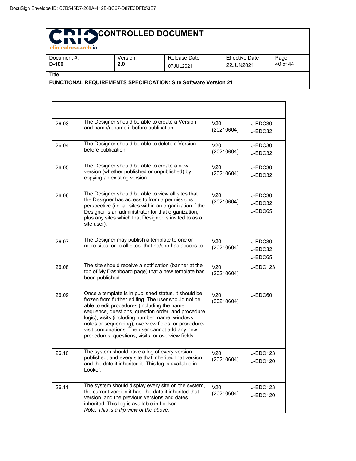|  | <b>PIDI ACONTROLLED DOCUMENT</b> |
|--|----------------------------------|
|  |                                  |

| .<br>clinicalresearch.jo |                 |                           |                             |                  |
|--------------------------|-----------------|---------------------------|-----------------------------|------------------|
| Document #:<br>$D-100$   | Version:<br>2.0 | Release Date<br>07JUL2021 | Effective Date<br>22JUN2021 | Page<br>40 of 44 |
| Title                    |                 |                           |                             |                  |

**FUNCTIONAL REQUIREMENTS SPECIFICATION: Site Software Version 21**

| 26.03 | The Designer should be able to create a Version<br>and name/rename it before publication.                                                                                                                                                                                                                                                                                                                                              | V20<br>(20210604)             | J-EDC30<br>J-EDC32            |
|-------|----------------------------------------------------------------------------------------------------------------------------------------------------------------------------------------------------------------------------------------------------------------------------------------------------------------------------------------------------------------------------------------------------------------------------------------|-------------------------------|-------------------------------|
| 26.04 | The Designer should be able to delete a Version<br>before publication.                                                                                                                                                                                                                                                                                                                                                                 | V <sub>20</sub><br>(20210604) | J-EDC30<br>J-EDC32            |
| 26.05 | The Designer should be able to create a new<br>version (whether published or unpublished) by<br>copying an existing version.                                                                                                                                                                                                                                                                                                           | V <sub>20</sub><br>(20210604) | J-EDC30<br>J-EDC32            |
| 26.06 | The Designer should be able to view all sites that<br>the Designer has access to from a permissions<br>perspective (i.e. all sites within an organization if the<br>Designer is an administrator for that organization,<br>plus any sites which that Designer is invited to as a<br>site user).                                                                                                                                        | V <sub>20</sub><br>(20210604) | J-EDC30<br>J-EDC32<br>J-EDC65 |
| 26.07 | The Designer may publish a template to one or<br>more sites, or to all sites, that he/she has access to.                                                                                                                                                                                                                                                                                                                               | V <sub>20</sub><br>(20210604) | J-EDC30<br>J-EDC32<br>J-EDC65 |
| 26.08 | The site should receive a notification (banner at the<br>top of My Dashboard page) that a new template has<br>been published.                                                                                                                                                                                                                                                                                                          | V20<br>(20210604)             | J-EDC123                      |
| 26.09 | Once a template is in published status, it should be<br>frozen from further editing. The user should not be<br>able to edit procedures (including the name,<br>sequence, questions, question order, and procedure<br>logic), visits (including number, name, windows,<br>notes or sequencing), overview fields, or procedure-<br>visit combinations. The user cannot add any new<br>procedures, questions, visits, or overview fields. | V20<br>(20210604)             | J-EDC60                       |
| 26.10 | The system should have a log of every version<br>published, and every site that inherited that version,<br>and the date it inherited it. This log is available in<br>Looker.                                                                                                                                                                                                                                                           | V <sub>20</sub><br>(20210604) | J-EDC123<br><b>J-EDC120</b>   |
| 26.11 | The system should display every site on the system,<br>the current version it has, the date it inherited that<br>version, and the previous versions and dates<br>inherited. This log is available in Looker.<br>Note: This is a flip view of the above.                                                                                                                                                                                | V <sub>20</sub><br>(20210604) | J-EDC123<br><b>J-EDC120</b>   |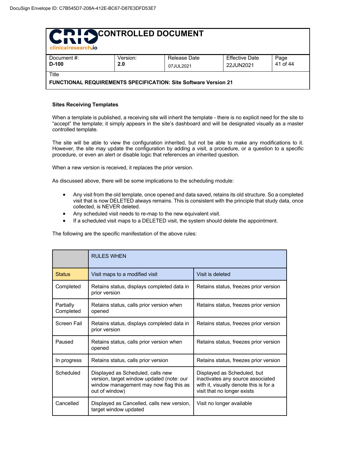| <b>PIDI ACONTROLLED DOCUMENT</b><br><b>GIVIT</b><br>clinicalresearch.jo |                                                                 |              |                       |          |  |  |  |
|-------------------------------------------------------------------------|-----------------------------------------------------------------|--------------|-----------------------|----------|--|--|--|
| Document #:                                                             | Version:                                                        | Release Date | <b>Effective Date</b> | Page     |  |  |  |
| $D-100$                                                                 | 2.0                                                             | 07JUL2021    | 22JUN2021             | 41 of 44 |  |  |  |
| Title                                                                   |                                                                 |              |                       |          |  |  |  |
|                                                                         | FUNCTIONAL REQUIREMENTS SPECIFICATION: Site Software Version 21 |              |                       |          |  |  |  |

#### **Sites Receiving Templates**

When a template is published, a receiving site will inherit the template - there is no explicit need for the site to "accept" the template; it simply appears in the site's dashboard and will be designated visually as a master controlled template.

The site will be able to view the configuration inherited, but not be able to make any modifications to it. However, the site may update the configuration by adding a visit, a procedure, or a question to a specific procedure, or even an alert or disable logic that references an inherited question.

When a new version is received, it replaces the prior version.

As discussed above, there will be some implications to the scheduling module:

- Any visit from the old template, once opened and data saved, retains its old structure. So a completed visit that is now DELETED always remains. This is consistent with the principle that study data, once collected, is NEVER deleted.
- Any scheduled visit needs to re-map to the new equivalent visit.
- If a scheduled visit maps to a DELETED visit, the system should delete the appointment.

The following are the specific manifestation of the above rules:

|                        | <b>RULES WHEN</b>                                                                                                                          |                                                                                                                                           |  |  |
|------------------------|--------------------------------------------------------------------------------------------------------------------------------------------|-------------------------------------------------------------------------------------------------------------------------------------------|--|--|
| <b>Status</b>          | Visit maps to a modified visit                                                                                                             | Visit is deleted                                                                                                                          |  |  |
| Completed              | Retains status, displays completed data in<br>prior version                                                                                | Retains status, freezes prior version                                                                                                     |  |  |
| Partially<br>Completed | Retains status, calls prior version when<br>opened                                                                                         | Retains status, freezes prior version                                                                                                     |  |  |
| Screen Fail            | Retains status, displays completed data in<br>prior version                                                                                | Retains status, freezes prior version                                                                                                     |  |  |
| Paused                 | Retains status, calls prior version when<br>opened                                                                                         | Retains status, freezes prior version                                                                                                     |  |  |
| In progress            | Retains status, calls prior version                                                                                                        | Retains status, freezes prior version                                                                                                     |  |  |
| Scheduled              | Displayed as Scheduled, calls new<br>version, target window updated (note: our<br>window management may now flag this as<br>out of window) | Displayed as Scheduled, but<br>inactivates any source associated<br>with it, visually denote this is for a<br>visit that no longer exists |  |  |
| Cancelled              | Displayed as Cancelled, calls new version,<br>target window updated                                                                        | Visit no longer available                                                                                                                 |  |  |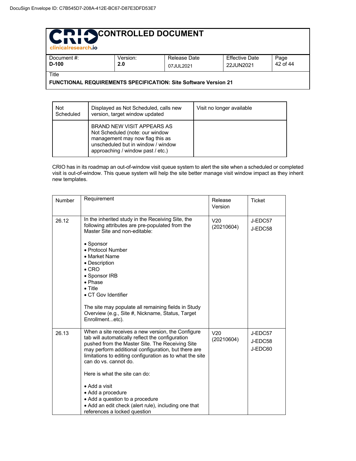| clinicalresearch.jo    |                 |                           |                                    |                  |  |  |  |
|------------------------|-----------------|---------------------------|------------------------------------|------------------|--|--|--|
| Document #:<br>$D-100$ | Version:<br>2.0 | Release Date<br>07JUL2021 | <b>Effective Date</b><br>22JUN2021 | Page<br>42 of 44 |  |  |  |
| Title                  |                 |                           |                                    |                  |  |  |  |

**FUNCTIONAL REQUIREMENTS SPECIFICATION: Site Software Version 21**

| <b>Not</b><br>Scheduled | Displayed as Not Scheduled, calls new<br>version, target window updated                                                                                                     | Visit no longer available |
|-------------------------|-----------------------------------------------------------------------------------------------------------------------------------------------------------------------------|---------------------------|
|                         | BRAND NEW VISIT APPEARS AS<br>Not Scheduled (note: our window<br>management may now flag this as<br>unscheduled but in window / window<br>approaching / window past / etc.) |                           |

CRIO has in its roadmap an out-of-window visit queue system to alert the site when a scheduled or completed visit is out-of-window. This queue system will help the site better manage visit window impact as they inherit new templates.

| Number | Requirement                                                                                                                                                                                                                                                                                                                                                                                                         | Release<br>Version            | <b>Ticket</b>                 |
|--------|---------------------------------------------------------------------------------------------------------------------------------------------------------------------------------------------------------------------------------------------------------------------------------------------------------------------------------------------------------------------------------------------------------------------|-------------------------------|-------------------------------|
| 26.12  | In the inherited study in the Receiving Site, the<br>following attributes are pre-populated from the<br>Master Site and non-editable:<br>• Sponsor<br>• Protocol Number<br>• Market Name<br>• Description<br>$\bullet$ CRO<br>• Sponsor IRB<br>$\bullet$ Phase<br>$\bullet$ Title<br>• CT Gov Identifier<br>The site may populate all remaining fields in Study<br>Overview (e.g., Site #, Nickname, Status, Target | V <sub>20</sub><br>(20210604) | J-EDC57<br>J-EDC58            |
|        | Enrollmentetc).                                                                                                                                                                                                                                                                                                                                                                                                     |                               |                               |
| 26.13  | When a site receives a new version, the Configure<br>tab will automatically reflect the configuration<br>pushed from the Master Site. The Receiving Site<br>may perform additional configuration, but there are<br>limitations to editing configuration as to what the site<br>can do vs. cannot do.<br>Here is what the site can do:                                                                               | V20<br>(20210604)             | J-EDC57<br>J-EDC58<br>J-EDC60 |
|        | • Add a visit                                                                                                                                                                                                                                                                                                                                                                                                       |                               |                               |
|        | • Add a procedure                                                                                                                                                                                                                                                                                                                                                                                                   |                               |                               |
|        | • Add a question to a procedure                                                                                                                                                                                                                                                                                                                                                                                     |                               |                               |
|        | • Add an edit check (alert rule), including one that<br>references a locked question                                                                                                                                                                                                                                                                                                                                |                               |                               |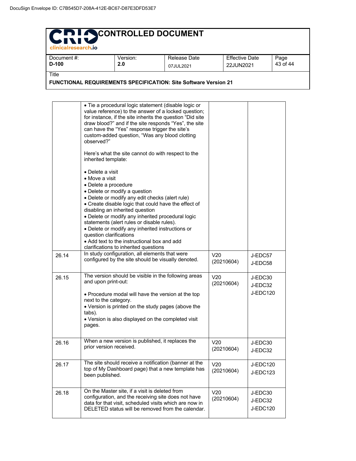| <b>PID LA CONTROLLED DOCUMENT</b><br><b>LIVIU</b><br>clinicalresearch.jo |          |              |                       |          |  |  |  |
|--------------------------------------------------------------------------|----------|--------------|-----------------------|----------|--|--|--|
| Document #:                                                              | Version: | Release Date | <b>Effective Date</b> | Page     |  |  |  |
| $D-100$                                                                  | 2.0      | 07JUL2021    | 22JUN2021             | 43 of 44 |  |  |  |
| Title                                                                    |          |              |                       |          |  |  |  |

**FUNCTIONAL REQUIREMENTS SPECIFICATION: Site Software Version 21**

|       | · Tie a procedural logic statement (disable logic or<br>value reference) to the answer of a locked question;<br>for instance, if the site inherits the question "Did site<br>draw blood?" and if the site responds "Yes", the site<br>can have the "Yes" response trigger the site's<br>custom-added question, "Was any blood clotting<br>observed?"<br>Here's what the site cannot do with respect to the<br>inherited template:<br>• Delete a visit<br>• Move a visit<br>• Delete a procedure<br>• Delete or modify a question<br>• Delete or modify any edit checks (alert rule)<br>• Create disable logic that could have the effect of<br>disabling an inherited question<br>• Delete or modify any inherited procedural logic<br>statements (alert rules or disable rules).<br>• Delete or modify any inherited instructions or<br>question clarifications<br>• Add text to the instructional box and add |                               |                                       |
|-------|-----------------------------------------------------------------------------------------------------------------------------------------------------------------------------------------------------------------------------------------------------------------------------------------------------------------------------------------------------------------------------------------------------------------------------------------------------------------------------------------------------------------------------------------------------------------------------------------------------------------------------------------------------------------------------------------------------------------------------------------------------------------------------------------------------------------------------------------------------------------------------------------------------------------|-------------------------------|---------------------------------------|
|       | clarifications to inherited questions                                                                                                                                                                                                                                                                                                                                                                                                                                                                                                                                                                                                                                                                                                                                                                                                                                                                           |                               |                                       |
| 26.14 | In study configuration, all elements that were<br>configured by the site should be visually denoted.                                                                                                                                                                                                                                                                                                                                                                                                                                                                                                                                                                                                                                                                                                                                                                                                            | V <sub>20</sub><br>(20210604) | J-EDC57<br>J-EDC58                    |
| 26.15 | The version should be visible in the following areas<br>and upon print-out:<br>• Procedure modal will have the version at the top<br>next to the category.<br>• Version is printed on the study pages (above the<br>tabs).<br>• Version is also displayed on the completed visit<br>pages.                                                                                                                                                                                                                                                                                                                                                                                                                                                                                                                                                                                                                      | V <sub>20</sub><br>(20210604) | J-EDC30<br>J-EDC32<br><b>J-EDC120</b> |
| 26.16 | When a new version is published, it replaces the<br>prior version received.                                                                                                                                                                                                                                                                                                                                                                                                                                                                                                                                                                                                                                                                                                                                                                                                                                     | V <sub>20</sub><br>(20210604) | J-EDC30<br>J-EDC32                    |
| 26.17 | The site should receive a notification (banner at the<br>top of My Dashboard page) that a new template has<br>been published.                                                                                                                                                                                                                                                                                                                                                                                                                                                                                                                                                                                                                                                                                                                                                                                   | V20<br>(20210604)             | <b>J-EDC120</b><br>J-EDC123           |
| 26.18 | On the Master site, if a visit is deleted from<br>configuration, and the receiving site does not have<br>data for that visit, scheduled visits which are now in<br>DELETED status will be removed from the calendar.                                                                                                                                                                                                                                                                                                                                                                                                                                                                                                                                                                                                                                                                                            | V20<br>(20210604)             | J-EDC30<br>J-EDC32<br><b>J-EDC120</b> |